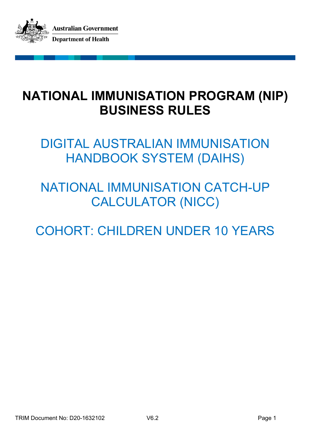

# **NATIONAL IMMUNISATION PROGRAM (NIP) BUSINESS RULES**

DIGITAL AUSTRALIAN IMMUNISATION HANDBOOK SYSTEM (DAIHS)

# NATIONAL IMMUNISATION CATCH-UP CALCULATOR (NICC)

COHORT: CHILDREN UNDER 10 YEARS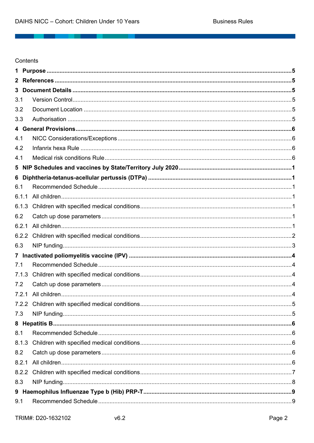\_\_\_\_\_

Contents

| 1            |  |
|--------------|--|
| $\mathbf{2}$ |  |
| 3            |  |
| 3.1          |  |
| 3.2          |  |
| 3.3          |  |
|              |  |
| 4.1          |  |
| 4.2          |  |
| 4.1          |  |
|              |  |
| 6            |  |
| 6.1          |  |
| 6.1.1        |  |
| 6.1.3        |  |
| 6.2          |  |
| 6.2.1        |  |
| 6.2.2        |  |
| 6.3          |  |
|              |  |
| 7.1          |  |
| 7.1.3        |  |
| 7.2          |  |
|              |  |
|              |  |
| 7.3          |  |
|              |  |
| 8.1          |  |
| 8.1.3        |  |
| 8.2          |  |
| 8.2.1        |  |
| 8.2.2        |  |
| 8.3          |  |
|              |  |
| 9.1          |  |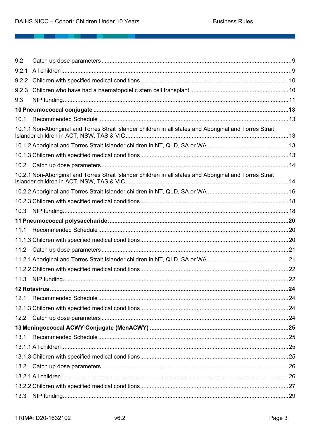\_\_\_\_\_\_\_\_\_

| 9.2             |                                                                                                          |  |
|-----------------|----------------------------------------------------------------------------------------------------------|--|
| 9.2.1           |                                                                                                          |  |
| 9.2.2           |                                                                                                          |  |
| 9.2.3           |                                                                                                          |  |
| 9.3             |                                                                                                          |  |
|                 |                                                                                                          |  |
| 10 <sub>1</sub> |                                                                                                          |  |
|                 | 10.1.1 Non-Aboriginal and Torres Strait Islander children in all states and Aboriginal and Torres Strait |  |
|                 |                                                                                                          |  |
|                 |                                                                                                          |  |
|                 |                                                                                                          |  |
|                 | 10.2.1 Non-Aboriginal and Torres Strait Islander children in all states and Aboriginal and Torres Strait |  |
|                 |                                                                                                          |  |
|                 |                                                                                                          |  |
| 10.3            |                                                                                                          |  |
|                 |                                                                                                          |  |
| 11.1            |                                                                                                          |  |
|                 |                                                                                                          |  |
| 11.2            |                                                                                                          |  |
|                 |                                                                                                          |  |
|                 |                                                                                                          |  |
| 11.3            |                                                                                                          |  |
|                 |                                                                                                          |  |
| 12.1            |                                                                                                          |  |
|                 |                                                                                                          |  |
|                 |                                                                                                          |  |
|                 |                                                                                                          |  |
| 13.1            |                                                                                                          |  |
|                 |                                                                                                          |  |
|                 |                                                                                                          |  |
|                 |                                                                                                          |  |
|                 |                                                                                                          |  |
|                 |                                                                                                          |  |
| 13.3            |                                                                                                          |  |
|                 |                                                                                                          |  |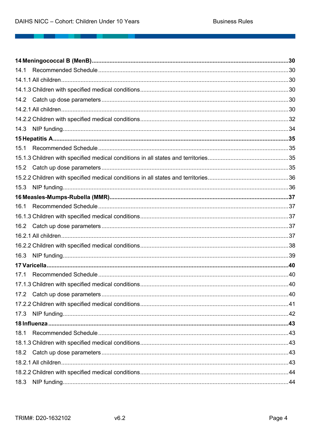<u> 1989 - De Britannia de Carlos III e a contrador de Carlos II e a contrador de Carlos II e a contrador de Carl</u>

| 14.1 |  |
|------|--|
|      |  |
|      |  |
|      |  |
|      |  |
|      |  |
| 14.3 |  |
|      |  |
| 15.1 |  |
|      |  |
| 15.2 |  |
|      |  |
| 15.3 |  |
|      |  |
| 16.1 |  |
|      |  |
|      |  |
|      |  |
|      |  |
| 16.3 |  |
|      |  |
| 17.1 |  |
|      |  |
|      |  |
|      |  |
|      |  |
|      |  |
| 18.1 |  |
|      |  |
|      |  |
|      |  |
|      |  |
| 18.3 |  |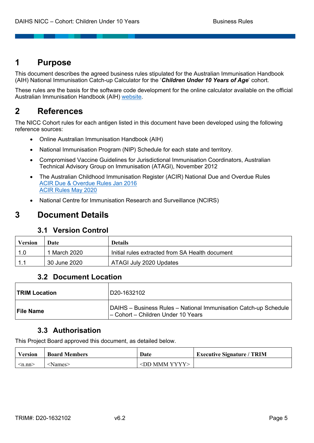# **1 Purpose**

This document describes the agreed business rules stipulated for the Australian Immunisation Handbook (AIH) National Immunisation Catch-up Calculator for the '*Children Under 10 Years of Age*' cohort.

These rules are the basis for the software code development for the online calculator available on the official Australian Immunisation Handbook (AIH) website.

# **2 References**

The NICC Cohort rules for each antigen listed in this document have been developed using the following reference sources:

- Online Australian Immunisation Handbook (AIH)
- National Immunisation Program (NIP) Schedule for each state and territory.
- Compromised Vaccine Guidelines for Jurisdictional Immunisation Coordinators, Australian Technical Advisory Group on Immunisation (ATAGI), November 2012
- The Australian Childhood Immunisation Register (ACIR) National Due and Overdue Rules ACIR Due & Overdue Rules Jan 2016 ACIR Rules May 2020
- National Centre for Immunisation Research and Surveillance (NCIRS)

# **3 Document Details**

# **3.1 Version Control**

| <b>Version</b> | Date         | <b>Details</b>                                  |
|----------------|--------------|-------------------------------------------------|
| -1.0           | 1 March 2020 | Initial rules extracted from SA Health document |
| -11            | 30 June 2020 | ATAGI July 2020 Updates                         |

# **3.2 Document Location**

| <b>TRIM Location</b> | D20-1632102                                                                                            |
|----------------------|--------------------------------------------------------------------------------------------------------|
| <b>File Name</b>     | DAIHS - Business Rules - National Immunisation Catch-up Schedule<br>- Cohort - Children Under 10 Years |

# **3.3 Authorisation**

This Project Board approved this document, as detailed below.

| <b>Version</b>  | <b>Board Members</b> | Date                      | <b>Executive Signature / TRIM</b> |
|-----------------|----------------------|---------------------------|-----------------------------------|
| $\leq$ n.nn $>$ | Mames>               | $\langle$ DD MMM YYYY $>$ |                                   |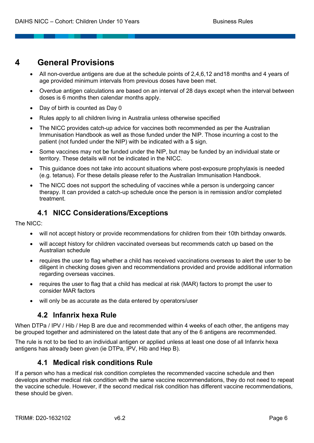# **4 General Provisions**

- All non-overdue antigens are due at the schedule points of 2,4,6,12 and18 months and 4 years of age provided minimum intervals from previous doses have been met.
- Overdue antigen calculations are based on an interval of 28 days except when the interval between doses is 6 months then calendar months apply.
- Day of birth is counted as Day 0
- Rules apply to all children living in Australia unless otherwise specified
- The NICC provides catch-up advice for vaccines both recommended as per the Australian Immunisation Handbook as well as those funded under the NIP. Those incurring a cost to the patient (not funded under the NIP) with be indicated with a \$ sign.
- Some vaccines may not be funded under the NIP, but may be funded by an individual state or territory. These details will not be indicated in the NICC.
- This guidance does not take into account situations where post-exposure prophylaxis is needed (e.g. tetanus). For these details please refer to the Australian Immunisation Handbook.
- The NICC does not support the scheduling of vaccines while a person is undergoing cancer therapy. It can provided a catch-up schedule once the person is in remission and/or completed treatment.

# **4.1 NICC Considerations/Exceptions**

The NICC:

- will not accept history or provide recommendations for children from their 10th birthday onwards.
- will accept history for children vaccinated overseas but recommends catch up based on the Australian schedule
- requires the user to flag whether a child has received vaccinations overseas to alert the user to be diligent in checking doses given and recommendations provided and provide additional information regarding overseas vaccines.
- requires the user to flag that a child has medical at risk (MAR) factors to prompt the user to consider MAR factors
- will only be as accurate as the data entered by operators/user

# **4.2 Infanrix hexa Rule**

When DTPa / IPV / Hib / Hep B are due and recommended within 4 weeks of each other, the antigens may be grouped together and administered on the latest date that any of the 6 antigens are recommended.

The rule is not to be tied to an individual antigen or applied unless at least one dose of all Infanrix hexa antigens has already been given (ie DTPa, IPV, Hib and Hep B).

# **4.1 Medical risk conditions Rule**

If a person who has a medical risk condition completes the recommended vaccine schedule and then develops another medical risk condition with the same vaccine recommendations, they do not need to repeat the vaccine schedule. However, if the second medical risk condition has different vaccine recommendations, these should be given.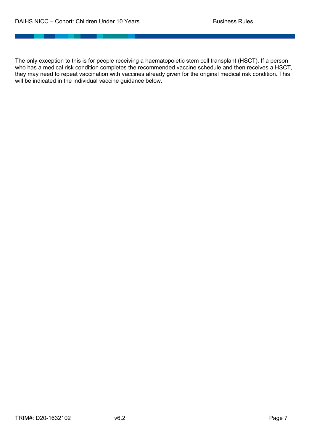The only exception to this is for people receiving a haematopoietic stem cell transplant (HSCT). If a person who has a medical risk condition completes the recommended vaccine schedule and then receives a HSCT, they may need to repeat vaccination with vaccines already given for the original medical risk condition. This will be indicated in the individual vaccine guidance below.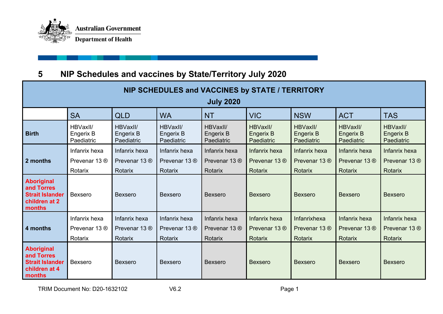

# **5 NIP Schedules and vaccines by State/Territory July 2020**

| NIP SCHEDULES and VACCINES by STATE / TERRITORY                                                                     |                                                                                                    |                                     |                                     |                                     |                                            |                                            |                                            |                                     |  |
|---------------------------------------------------------------------------------------------------------------------|----------------------------------------------------------------------------------------------------|-------------------------------------|-------------------------------------|-------------------------------------|--------------------------------------------|--------------------------------------------|--------------------------------------------|-------------------------------------|--|
|                                                                                                                     | <b>July 2020</b>                                                                                   |                                     |                                     |                                     |                                            |                                            |                                            |                                     |  |
|                                                                                                                     | <b>SA</b><br><b>VIC</b><br><b>QLD</b><br><b>WA</b><br><b>NSW</b><br><b>ACT</b><br><b>NT</b><br>TAS |                                     |                                     |                                     |                                            |                                            |                                            |                                     |  |
| <b>Birth</b>                                                                                                        | HBVaxII/<br>Engerix B<br>Paediatric                                                                | HBVaxII/<br>Engerix B<br>Paediatric | HBVaxII/<br>Engerix B<br>Paediatric | HBVaxII/<br>Engerix B<br>Paediatric | HBVaxII/<br><b>Engerix B</b><br>Paediatric | HBVaxII/<br><b>Engerix B</b><br>Paediatric | HBVaxII/<br><b>Engerix B</b><br>Paediatric | HBVaxII/<br>Engerix B<br>Paediatric |  |
| Infanrix hexa<br>Infanrix hexa<br>Infanrix hexa<br>Infanrix hexa<br>Infanrix hexa<br>Infanrix hexa<br>Infanrix hexa |                                                                                                    |                                     |                                     |                                     |                                            |                                            | Infanrix hexa                              |                                     |  |
| 2 months                                                                                                            | Prevenar 13 ®                                                                                      | Prevenar 13 <sup>®</sup>            | Prevenar 13 ®                       | Prevenar 13 <sup>®</sup>            | Prevenar 13 <sup>®</sup>                   | Prevenar 13 ®                              | Prevenar 13 ®                              | Prevenar 13 <sup>®</sup>            |  |
|                                                                                                                     | Rotarix                                                                                            | Rotarix                             | Rotarix                             | Rotarix                             | Rotarix                                    | Rotarix                                    | Rotarix                                    | Rotarix                             |  |
| Aboriginal<br>and Torres<br><b>Strait Islander</b><br>children at 2<br>months                                       | Bexsero                                                                                            | <b>Bexsero</b>                      | <b>Bexsero</b>                      | Bexsero                             | <b>Bexsero</b>                             | <b>Bexsero</b>                             | <b>Bexsero</b>                             | <b>Bexsero</b>                      |  |
| Infanrix hexa<br>Infanrix hexa<br>Infanrix hexa                                                                     |                                                                                                    |                                     |                                     | Infanrix hexa                       | Infanrix hexa                              | Infanrixhexa                               | Infanrix hexa                              | Infanrix hexa                       |  |
| 4 months                                                                                                            | Prevenar 13 ®                                                                                      | Prevenar 13 ®                       | Prevenar 13 ®                       | Prevenar 13 ®                       | Prevenar 13 <sup>®</sup>                   | Prevenar 13 <sup>®</sup>                   | Prevenar 13 ®                              | Prevenar 13 <sup>®</sup>            |  |
|                                                                                                                     | Rotarix                                                                                            | Rotarix                             | Rotarix                             | Rotarix                             | Rotarix                                    | <b>Rotarix</b>                             | Rotarix                                    | Rotarix                             |  |
| <b>Aboriginal</b><br>and Torres<br><b>Strait Islander</b><br>children at 4<br>months                                | <b>Bexsero</b>                                                                                     | <b>Bexsero</b>                      | <b>Bexsero</b>                      | <b>Bexsero</b>                      | <b>Bexsero</b>                             | <b>Bexsero</b>                             | <b>Bexsero</b>                             | <b>Bexsero</b>                      |  |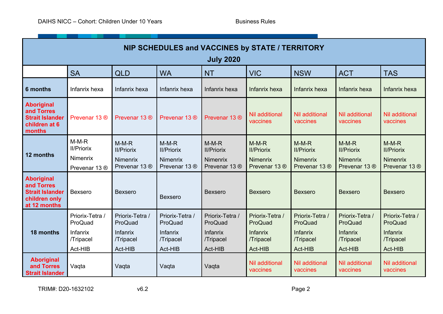\_\_\_\_\_\_\_\_\_

| NIP SCHEDULES and VACCINES by STATE / TERRITORY<br><b>July 2020</b>                        |                                                                                                           |                                                                |                                                                |                                                                |                                                                  |                                                                |                                                                |                                                                             |
|--------------------------------------------------------------------------------------------|-----------------------------------------------------------------------------------------------------------|----------------------------------------------------------------|----------------------------------------------------------------|----------------------------------------------------------------|------------------------------------------------------------------|----------------------------------------------------------------|----------------------------------------------------------------|-----------------------------------------------------------------------------|
|                                                                                            | <b>SA</b><br><b>VIC</b><br><b>ACT</b><br><b>QLD</b><br><b>WA</b><br><b>NT</b><br><b>NSW</b><br><b>TAS</b> |                                                                |                                                                |                                                                |                                                                  |                                                                |                                                                |                                                                             |
| 6 months                                                                                   | Infanrix hexa                                                                                             | Infanrix hexa                                                  | Infanrix hexa                                                  | Infanrix hexa                                                  | Infanrix hexa                                                    | Infanrix hexa                                                  | Infanrix hexa                                                  | Infanrix hexa                                                               |
| <b>Aboriginal</b><br>and Torres<br><b>Strait Islander</b><br>children at 6<br>months       | Prevenar 13 ®                                                                                             | Prevenar 13 ®                                                  | Prevenar 13 ®                                                  | Prevenar 13 <sup>®</sup>                                       | <b>Nil additional</b><br>vaccines                                | <b>Nil additional</b><br>vaccines                              | <b>Nil additional</b><br>vaccines                              | <b>Nil additional</b><br>vaccines                                           |
| 12 months                                                                                  | $M-M-R$<br><b>II/Priorix</b><br>Nimenrix<br>Prevenar 13 ®                                                 | $M-M-R$<br><b>II/Priorix</b><br>Nimenrix<br>Prevenar 13 ®      | $M-M-R$<br><b>II/Priorix</b><br>Nimenrix<br>Prevenar 13 ®      | $M-M-R$<br><b>II/Priorix</b><br>Nimenrix<br>Prevenar 13 ®      | $M-M-R$<br><b>II/Priorix</b><br><b>Nimenrix</b><br>Prevenar 13 ® | $M-M-R$<br><b>II/Priorix</b><br>Nimenrix<br>Prevenar 13 ®      | $M-M-R$<br><b>II/Priorix</b><br>Nimenrix<br>Prevenar 13 ®      | $M-M-R$<br><b>II/Priorix</b><br><b>Nimenrix</b><br>Prevenar 13 <sup>®</sup> |
| <b>Aboriginal</b><br>and Torres<br><b>Strait Islander</b><br>children only<br>at 12 months | Bexsero                                                                                                   | <b>Bexsero</b>                                                 | <b>Bexsero</b>                                                 | <b>Bexsero</b>                                                 | <b>Bexsero</b>                                                   | <b>Bexsero</b>                                                 | <b>Bexsero</b>                                                 | <b>Bexsero</b>                                                              |
| 18 months                                                                                  | Priorix-Tetra /<br>ProQuad<br>Infanrix<br>/Tripacel<br>Act-HIB                                            | Priorix-Tetra /<br>ProQuad<br>Infanrix<br>/Tripacel<br>Act-HIB | Priorix-Tetra /<br>ProQuad<br>Infanrix<br>/Tripacel<br>Act-HIB | Priorix-Tetra /<br>ProQuad<br>Infanrix<br>/Tripacel<br>Act-HIB | Priorix-Tetra /<br>ProQuad<br>Infanrix<br>/Tripacel<br>Act-HIB   | Priorix-Tetra /<br>ProQuad<br>Infanrix<br>/Tripacel<br>Act-HIB | Priorix-Tetra /<br>ProQuad<br>Infanrix<br>/Tripacel<br>Act-HIB | Priorix-Tetra /<br>ProQuad<br>Infanrix<br>/Tripacel<br>Act-HIB              |
| <b>Aboriginal</b><br>and Torres<br><b>Strait Islander</b>                                  | Vaqta                                                                                                     | Vaqta                                                          | Vaqta                                                          | Vaqta                                                          | <b>Nil additional</b><br>vaccines                                | <b>Nil additional</b><br>vaccines                              | <b>Nil additional</b><br>vaccines                              | <b>Nil additional</b><br>vaccines                                           |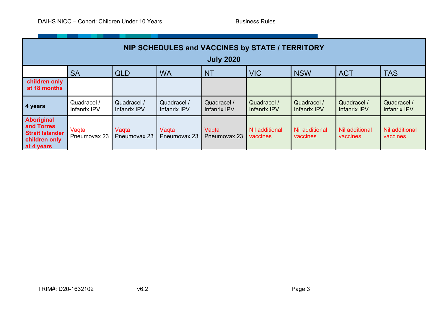\_\_\_\_\_\_\_\_\_

| NIP SCHEDULES and VACCINES by STATE / TERRITORY                                                                                                                                                                                                                                                           |                                                                                                           |                             |                             |                             |                             |                             |                             |                             |
|-----------------------------------------------------------------------------------------------------------------------------------------------------------------------------------------------------------------------------------------------------------------------------------------------------------|-----------------------------------------------------------------------------------------------------------|-----------------------------|-----------------------------|-----------------------------|-----------------------------|-----------------------------|-----------------------------|-----------------------------|
|                                                                                                                                                                                                                                                                                                           |                                                                                                           |                             |                             | <b>July 2020</b>            |                             |                             |                             |                             |
|                                                                                                                                                                                                                                                                                                           | <b>VIC</b><br><b>TAS</b><br><b>SA</b><br><b>WA</b><br><b>NT</b><br><b>NSW</b><br><b>ACT</b><br><b>QLD</b> |                             |                             |                             |                             |                             |                             |                             |
| children only<br>at 18 months                                                                                                                                                                                                                                                                             |                                                                                                           |                             |                             |                             |                             |                             |                             |                             |
| 4 years                                                                                                                                                                                                                                                                                                   | Quadracel /<br>Infanrix IPV                                                                               | Quadracel /<br>Infanrix IPV | Quadracel /<br>Infanrix IPV | Quadracel /<br>Infanrix IPV | Quadracel /<br>Infanrix IPV | Quadracel /<br>Infanrix IPV | Quadracel /<br>Infanrix IPV | Quadracel /<br>Infanrix IPV |
| <b>Aboriginal</b><br>and Torres<br>Nil additional<br><b>Nil additional</b><br>Nil additional<br>Vaqta<br>Vagta<br>Vaqta<br>Vagta<br><b>Strait Islander</b><br>Pneumovax 23<br>Pneumovax 23<br>Pneumovax 23<br>Pneumovax 23<br>vaccines<br>vaccines<br>vaccines<br>vaccines<br>children only<br>at 4 years |                                                                                                           |                             |                             |                             |                             | Nil additional              |                             |                             |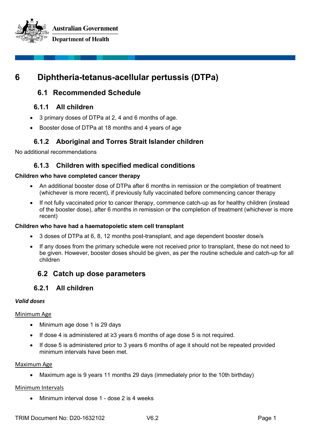**Australian Government Department of Health** 



# **6 Diphtheria-tetanus-acellular pertussis (DTPa)**

# **6.1 Recommended Schedule**

# **6.1.1 All children**

- 3 primary doses of DTPa at 2, 4 and 6 months of age.
- Booster dose of DTPa at 18 months and 4 years of age

# **6.1.2 Aboriginal and Torres Strait Islander children**

No additional recommendations

# **6.1.3 Children with specified medical conditions**

#### **Children who have completed cancer therapy**

- An additional booster dose of DTPa after 6 months in remission or the completion of treatment (whichever is more recent), if previously fully vaccinated before commencing cancer therapy
- If not fully vaccinated prior to cancer therapy, commence catch-up as for healthy children (instead of the booster dose), after 6 months in remission or the completion of treatment (whichever is more recent)

#### **Children who have had a haematopoietic stem cell transplant**

- 3 doses of DTPa at 6, 8, 12 months post-transplant, and age dependent booster dose/s
- If any doses from the primary schedule were not received prior to transplant, these do not need to be given. However, booster doses should be given, as per the routine schedule and catch-up for all children

# **6.2 Catch up dose parameters**

# **6.2.1 All children**

#### *Valid doses*

#### Minimum Age

- Minimum age dose 1 is 29 days
- If dose 4 is administered at ≥3 years 6 months of age dose 5 is not required.
- If dose 5 is administered prior to 3 years 6 months of age it should not be repeated provided minimum intervals have been met.

#### Maximum Age

• Maximum age is 9 years 11 months 29 days (immediately prior to the 10th birthday)

#### Minimum Intervals

• Minimum interval dose 1 - dose 2 is 4 weeks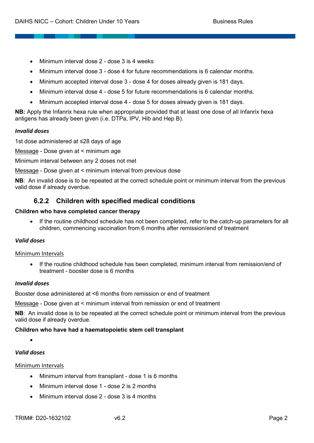- Minimum interval dose 2 dose 3 is 4 weeks
- Minimum interval dose 3 dose 4 for future recommendations is 6 calendar months.
- Minimum accepted interval dose 3 dose 4 for doses already given is 181 days.
- Minimum interval dose 4 dose 5 for future recommendations is 6 calendar months.
- Minimum accepted interval dose 4 dose 5 for doses already given is 181 days.

**NB:** Apply the Infanrix hexa rule when appropriate provided that at least one dose of all Infanrix hexa antigens has already been given (i.e. DTPa, IPV, Hib and Hep B).

#### *Invalid doses*

1st dose administered at ≤28 days of age

Message - Dose given at < minimum age

Minimum interval between any 2 doses not met

Message - Dose given at < minimum interval from previous dose

**NB**: An invalid dose is to be repeated at the correct schedule point or minimum interval from the previous valid dose if already overdue.

### **6.2.2 Children with specified medical conditions**

#### **Children who have completed cancer therapy**

• If the routine childhood schedule has not been completed, refer to the catch-up parameters for all children, commencing vaccination from 6 months after remission/end of treatment

#### *Valid doses*

#### Minimum Intervals

• If the routine childhood schedule has been completed, minimum interval from remission/end of treatment - booster dose is 6 months

#### *Invalid doses*

Booster dose administered at <6 months from remission or end of treatment

Message - Dose given at < minimum interval from remission or end of treatment

**NB**: An invalid dose is to be repeated at the correct schedule point or minimum interval from the previous valid dose if already overdue.

#### **Children who have had a haematopoietic stem cell transplant**

•

#### *Valid doses*

#### Minimum Intervals

- Minimum interval from transplant dose 1 is 6 months
- Minimum interval dose 1 dose 2 is 2 months
- Minimum interval dose 2 dose 3 is 4 months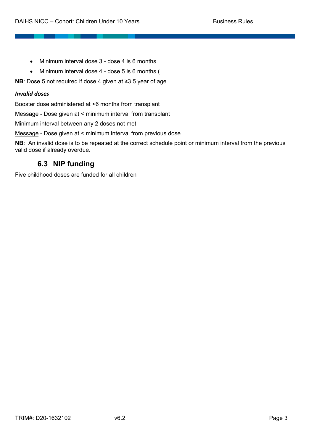- Minimum interval dose 3 dose 4 is 6 months
- Minimum interval dose 4 dose 5 is 6 months (

**NB**: Dose 5 not required if dose 4 given at ≥3.5 year of age

#### *Invalid doses*

Booster dose administered at <6 months from transplant

Message - Dose given at < minimum interval from transplant

Minimum interval between any 2 doses not met

Message - Dose given at < minimum interval from previous dose

**NB**: An invalid dose is to be repeated at the correct schedule point or minimum interval from the previous valid dose if already overdue.

# **6.3 NIP funding**

Five childhood doses are funded for all children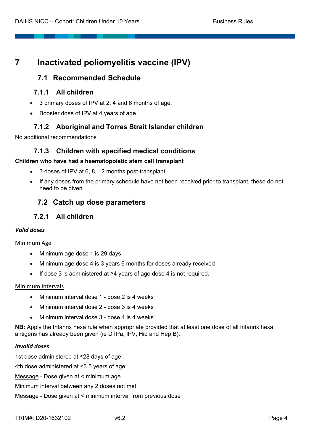# **7 Inactivated poliomyelitis vaccine (IPV)**

# **7.1 Recommended Schedule**

# **7.1.1 All children**

- 3 primary doses of IPV at 2, 4 and 6 months of age.
- Booster dose of IPV at 4 years of age

# **7.1.2 Aboriginal and Torres Strait Islander children**

No additional recommendations

# **7.1.3 Children with specified medical conditions**

#### **Children who have had a haematopoietic stem cell transplant**

- 3 doses of IPV at 6, 8, 12 months post-transplant
- If any doses from the primary schedule have not been received prior to transplant, these do not need to be given

# **7.2 Catch up dose parameters**

# **7.2.1 All children**

#### *Valid doses*

#### Minimum Age

- Minimum age dose 1 is 29 days
- Minimum age dose 4 is 3 years 6 months for doses already received
- If dose 3 is administered at ≥4 years of age dose 4 is not required.

#### Minimum Intervals

- Minimum interval dose 1 dose 2 is 4 weeks
- Minimum interval dose 2 dose 3 is 4 weeks
- Minimum interval dose 3 dose 4 is 4 weeks

**NB:** Apply the Infanrix hexa rule when appropriate provided that at least one dose of all Infanrix hexa antigens has already been given (ie DTPa, IPV, Hib and Hep B).

#### *Invalid doses*

1st dose administered at ≤28 days of age 4th dose administered at <3.5 years of age Message - Dose given at < minimum age Minimum interval between any 2 doses not met Message - Dose given at < minimum interval from previous dose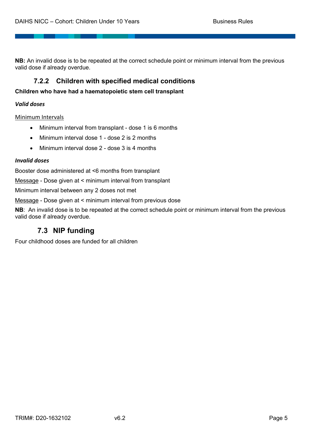**NB:** An invalid dose is to be repeated at the correct schedule point or minimum interval from the previous valid dose if already overdue.

# **7.2.2 Children with specified medical conditions**

**Children who have had a haematopoietic stem cell transplant**

#### *Valid doses*

Minimum Intervals

- Minimum interval from transplant dose 1 is 6 months
- Minimum interval dose 1 dose 2 is 2 months
- Minimum interval dose 2 dose 3 is 4 months

#### *Invalid doses*

Booster dose administered at <6 months from transplant

Message - Dose given at < minimum interval from transplant

Minimum interval between any 2 doses not met

Message - Dose given at < minimum interval from previous dose

**NB**: An invalid dose is to be repeated at the correct schedule point or minimum interval from the previous valid dose if already overdue.

# **7.3 NIP funding**

Four childhood doses are funded for all children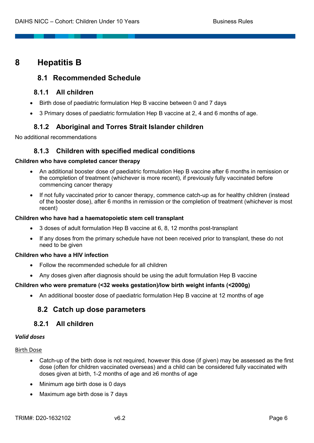# **8 Hepatitis B**

# **8.1 Recommended Schedule**

# **8.1.1 All children**

- Birth dose of paediatric formulation Hep B vaccine between 0 and 7 days
- 3 Primary doses of paediatric formulation Hep B vaccine at 2, 4 and 6 months of age.

# **8.1.2 Aboriginal and Torres Strait Islander children**

No additional recommendations

# **8.1.3 Children with specified medical conditions**

#### **Children who have completed cancer therapy**

- An additional booster dose of paediatric formulation Hep B vaccine after 6 months in remission or the completion of treatment (whichever is more recent), if previously fully vaccinated before commencing cancer therapy
- If not fully vaccinated prior to cancer therapy, commence catch-up as for healthy children (instead of the booster dose), after 6 months in remission or the completion of treatment (whichever is most recent)

#### **Children who have had a haematopoietic stem cell transplant**

- 3 doses of adult formulation Hep B vaccine at 6, 8, 12 months post-transplant
- If any doses from the primary schedule have not been received prior to transplant, these do not need to be given

#### **Children who have a HIV infection**

- Follow the recommended schedule for all children
- Any doses given after diagnosis should be using the adult formulation Hep B vaccine

#### **Children who were premature (<32 weeks gestation)/low birth weight infants (<2000g)**

• An additional booster dose of paediatric formulation Hep B vaccine at 12 months of age

# **8.2 Catch up dose parameters**

# **8.2.1 All children**

#### *Valid doses*

Birth Dose

- Catch-up of the birth dose is not required, however this dose (if given) may be assessed as the first dose (often for children vaccinated overseas) and a child can be considered fully vaccinated with doses given at birth, 1-2 months of age and ≥6 months of age
- Minimum age birth dose is 0 days
- Maximum age birth dose is 7 days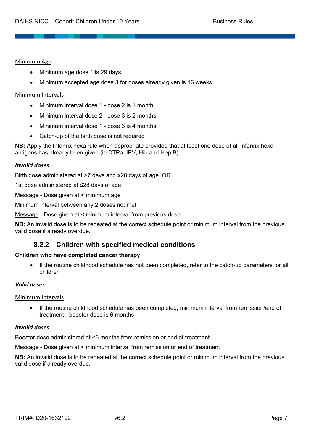#### Minimum Age

- Minimum age dose 1 is 29 days
- Minimum accepted age dose 3 for doses already given is 16 weeks

#### Minimum Intervals

- Minimum interval dose 1 dose 2 is 1 month
- Minimum interval dose 2 dose 3 is 2 months
- Minimum interval dose 1 dose 3 is 4 months
- Catch-up of the birth dose is not required

**NB:** Apply the Infanrix hexa rule when appropriate provided that at least one dose of all Infanrix hexa antigens has already been given (ie DTPa, IPV, Hib and Hep B).

#### *Invalid doses*

Birth dose administered at >7 days and ≤28 days of age OR

1st dose administered at ≤28 days of age

Message - Dose given at < minimum age

Minimum interval between any 2 doses not met

Message - Dose given at < minimum interval from previous dose

**NB:** An invalid dose is to be repeated at the correct schedule point or minimum interval from the previous valid dose if already overdue.

# **8.2.2 Children with specified medical conditions**

#### **Children who have completed cancer therapy**

• If the routine childhood schedule has not been completed, refer to the catch-up parameters for all children

#### *Valid doses*

#### Minimum Intervals

• If the routine childhood schedule has been completed, minimum interval from remission/end of treatment - booster dose is 6 months

#### *Invalid doses*

Booster dose administered at <6 months from remission or end of treatment

Message - Dose given at < minimum interval from remission or end of treatment

**NB:** An invalid dose is to be repeated at the correct schedule point or minimum interval from the previous valid dose if already overdue.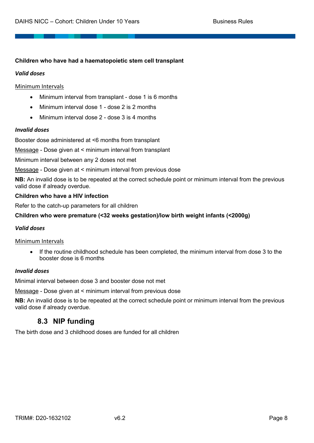#### **Children who have had a haematopoietic stem cell transplant**

#### *Valid doses*

#### Minimum Intervals

- Minimum interval from transplant dose 1 is 6 months
- Minimum interval dose 1 dose 2 is 2 months
- Minimum interval dose 2 dose 3 is 4 months

#### *Invalid doses*

Booster dose administered at <6 months from transplant

Message - Dose given at < minimum interval from transplant

Minimum interval between any 2 doses not met

Message - Dose given at < minimum interval from previous dose

**NB:** An invalid dose is to be repeated at the correct schedule point or minimum interval from the previous valid dose if already overdue.

#### **Children who have a HIV infection**

Refer to the catch-up parameters for all children

#### **Children who were premature (<32 weeks gestation)/low birth weight infants (<2000g)**

#### *Valid doses*

#### Minimum Intervals

• If the routine childhood schedule has been completed, the minimum interval from dose 3 to the booster dose is 6 months

#### *Invalid doses*

Minimal interval between dose 3 and booster dose not met

Message - Dose given at < minimum interval from previous dose

**NB:** An invalid dose is to be repeated at the correct schedule point or minimum interval from the previous valid dose if already overdue.

# **8.3 NIP funding**

The birth dose and 3 childhood doses are funded for all children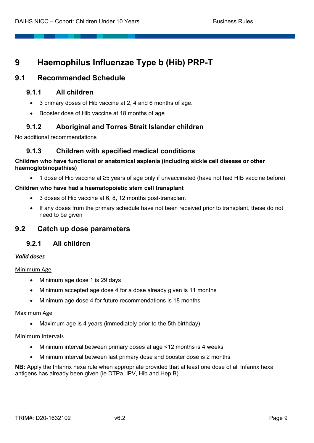# **9 Haemophilus Influenzae Type b (Hib) PRP-T**

# **9.1 Recommended Schedule**

# **9.1.1 All children**

- 3 primary doses of Hib vaccine at 2, 4 and 6 months of age.
- Booster dose of Hib vaccine at 18 months of age

# **9.1.2 Aboriginal and Torres Strait Islander children**

No additional recommendations

# **9.1.3 Children with specified medical conditions**

#### **Children who have functional or anatomical asplenia (including sickle cell disease or other haemoglobinopathies)**

• 1 dose of Hib vaccine at ≥5 years of age only if unvaccinated (have not had HIB vaccine before)

#### **Children who have had a haematopoietic stem cell transplant**

- 3 doses of Hib vaccine at 6, 8, 12 months post-transplant
- If any doses from the primary schedule have not been received prior to transplant, these do not need to be given

# **9.2 Catch up dose parameters**

# **9.2.1 All children**

#### *Valid doses*

#### Minimum Age

- Minimum age dose 1 is 29 days
- Minimum accepted age dose 4 for a dose already given is 11 months
- Minimum age dose 4 for future recommendations is 18 months

#### Maximum Age

• Maximum age is 4 years (immediately prior to the 5th birthday)

#### Minimum Intervals

- Minimum interval between primary doses at age <12 months is 4 weeks
- Minimum interval between last primary dose and booster dose is 2 months

**NB:** Apply the Infanrix hexa rule when appropriate provided that at least one dose of all Infanrix hexa antigens has already been given (ie DTPa, IPV, Hib and Hep B).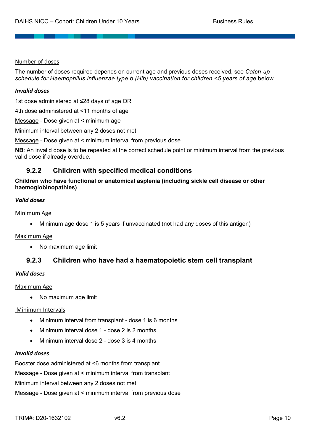#### Number of doses

The number of doses required depends on current age and previous doses received, see *Catch-up schedule for Haemophilus influenzae type b (Hib) vaccination for children <5 years of age* below

#### *Invalid doses*

1st dose administered at ≤28 days of age OR

4th dose administered at <11 months of age

Message - Dose given at < minimum age

Minimum interval between any 2 doses not met

Message - Dose given at < minimum interval from previous dose

**NB**: An invalid dose is to be repeated at the correct schedule point or minimum interval from the previous valid dose if already overdue.

# **9.2.2 Children with specified medical conditions**

**Children who have functional or anatomical asplenia (including sickle cell disease or other haemoglobinopathies)**

#### *Valid doses*

#### Minimum Age

• Minimum age dose 1 is 5 years if unvaccinated (not had any doses of this antigen)

#### Maximum Age

• No maximum age limit

# **9.2.3 Children who have had a haematopoietic stem cell transplant**

#### *Valid doses*

#### Maximum Age

• No maximum age limit

#### Minimum Intervals

- Minimum interval from transplant dose 1 is 6 months
- Minimum interval dose 1 dose 2 is 2 months
- Minimum interval dose 2 dose 3 is 4 months

#### *Invalid doses*

Booster dose administered at <6 months from transplant

Message - Dose given at < minimum interval from transplant

Minimum interval between any 2 doses not met

Message - Dose given at < minimum interval from previous dose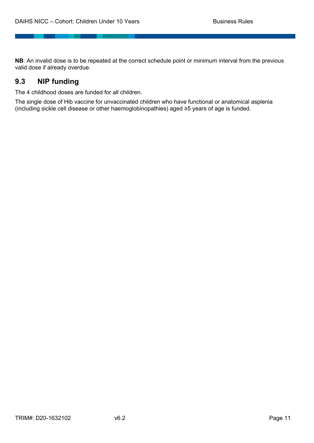**NB**: An invalid dose is to be repeated at the correct schedule point or minimum interval from the previous valid dose if already overdue.

# **9.3 NIP funding**

The 4 childhood doses are funded for all children.

The single dose of Hib vaccine for unvaccinated children who have functional or anatomical asplenia (including sickle cell disease or other haemoglobinopathies) aged ≥5 years of age is funded.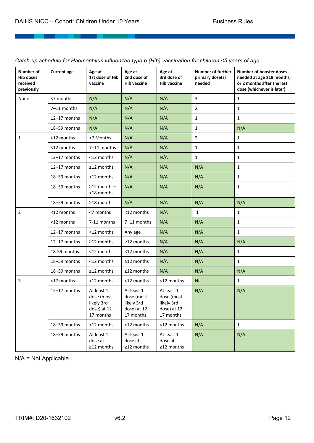| <b>Number of</b><br><b>Hib doses</b><br>received<br>previously | <b>Current age</b> | Age at<br>1st dose of Hib<br>vaccine                                | Age at<br>2nd dose of<br><b>Hib vaccine</b>                           | Age at<br>3rd dose of<br><b>Hib vaccine</b>                         | <b>Number of further</b><br>primary dose(s)<br>needed | <b>Number of booster doses</b><br>needed at age ≥18 months,<br>or 2 months after the last<br>dose (whichever is later) |
|----------------------------------------------------------------|--------------------|---------------------------------------------------------------------|-----------------------------------------------------------------------|---------------------------------------------------------------------|-------------------------------------------------------|------------------------------------------------------------------------------------------------------------------------|
| None                                                           | <7 months          | N/A                                                                 | N/A                                                                   | N/A                                                                 | $\overline{3}$                                        | $\mathbf{1}$                                                                                                           |
|                                                                | 7-11 months        | N/A                                                                 | N/A                                                                   | N/A                                                                 | $\overline{2}$                                        | 1                                                                                                                      |
|                                                                | 12-17 months       | N/A                                                                 | N/A                                                                   | N/A                                                                 | $\mathbf{1}$                                          | $\mathbf{1}$                                                                                                           |
|                                                                | 18-59 months       | N/A                                                                 | N/A                                                                   | N/A                                                                 | $\mathbf{1}$                                          | N/A                                                                                                                    |
| $\mathbf{1}$                                                   | <12 months         | <7 Months                                                           | N/A                                                                   | N/A                                                                 | $\overline{2}$                                        | $\mathbf{1}$                                                                                                           |
|                                                                | <12 months         | 7-11 months                                                         | N/A                                                                   | N/A                                                                 | $\mathbf{1}$                                          | $\mathbf{1}$                                                                                                           |
|                                                                | 12-17 months       | <12 months                                                          | N/A                                                                   | N/A                                                                 | $\mathbf 1$                                           | 1                                                                                                                      |
|                                                                | 12-17 months       | ≥12 months                                                          | N/A                                                                   | N/A                                                                 | N/A                                                   | 1                                                                                                                      |
|                                                                | 18-59 months       | <12 months                                                          | N/A                                                                   | N/A                                                                 | N/A                                                   | 1                                                                                                                      |
|                                                                | 18-59 months       | ≥12 months-<br><18 months                                           | N/A                                                                   | N/A                                                                 | N/A                                                   | $\mathbf{1}$                                                                                                           |
|                                                                | 18-59 months       | ≥18 months                                                          | N/A                                                                   | N/A                                                                 | N/A                                                   | N/A                                                                                                                    |
| $\overline{2}$                                                 | <12 months         | <7 months                                                           | <12 months                                                            | N/A                                                                 | $\mathbf{1}$                                          | 1                                                                                                                      |
|                                                                | <12 months         | 7-11 months                                                         | 7-11 months                                                           | N/A                                                                 | N/A                                                   | 1                                                                                                                      |
|                                                                | 12-17 months       | <12 months                                                          | Any age                                                               | N/A                                                                 | N/A                                                   | $\mathbf{1}$                                                                                                           |
|                                                                | 12-17 months       | ≥12 months                                                          | ≥12 months                                                            | N/A                                                                 | N/A                                                   | N/A                                                                                                                    |
|                                                                | 18-59 months       | <12 months                                                          | <12 months                                                            | N/A                                                                 | N/A                                                   | $\mathbf{1}$                                                                                                           |
|                                                                | 18-59 months       | <12 months                                                          | ≥12 months                                                            | N/A                                                                 | N/A                                                   | 1                                                                                                                      |
|                                                                | 18-59 months       | ≥12 months                                                          | $\geq$ 12 months                                                      | N/A                                                                 | N/A                                                   | N/A                                                                                                                    |
| $\overline{3}$                                                 | <17 months         | <12 months                                                          | <12 months                                                            | <12 months                                                          | Na                                                    | $\mathbf{1}$                                                                                                           |
|                                                                | 12-17 months       | At least 1<br>dose (most<br>likely 3rd<br>dose) at 12-<br>17 months | At least 1<br>dose (most<br>likely 3rd<br>dose) at $12-$<br>17 months | At least 1<br>dose (most<br>likely 3rd<br>dose) at 12-<br>17 months | N/A                                                   | N/A                                                                                                                    |
|                                                                | 18-59 months       | <12 months                                                          | <12 months                                                            | <12 months                                                          | N/A                                                   | $\mathbf{1}$                                                                                                           |
|                                                                | 18-59 months       | At least 1<br>dose at<br>≥12 months                                 | At least 1<br>dose at<br>≥12 months                                   | At least 1<br>dose at<br>≥12 months                                 | N/A                                                   | N/A                                                                                                                    |

*Catch-up schedule for Haemophilus influenzae type b (Hib) vaccination for children <5 years of age*

N/A = Not Applicable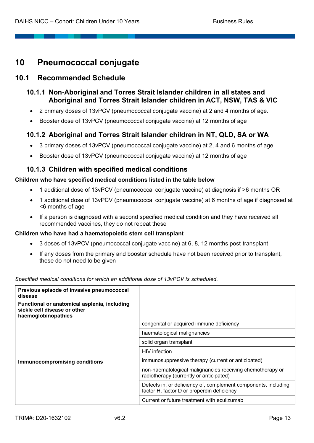# **10 Pneumococcal conjugate**

# **10.1 Recommended Schedule**

# **10.1.1 Non-Aboriginal and Torres Strait Islander children in all states and Aboriginal and Torres Strait Islander children in ACT, NSW, TAS & VIC**

- 2 primary doses of 13vPCV (pneumococcal conjugate vaccine) at 2 and 4 months of age.
- Booster dose of 13vPCV (pneumococcal conjugate vaccine) at 12 months of age

# **10.1.2 Aboriginal and Torres Strait Islander children in NT, QLD, SA or WA**

- 3 primary doses of 13vPCV (pneumococcal conjugate vaccine) at 2, 4 and 6 months of age.
- Booster dose of 13vPCV (pneumococcal conjugate vaccine) at 12 months of age

# **10.1.3 Children with specified medical conditions**

#### **Children who have specified medical conditions listed in the table below**

- 1 additional dose of 13vPCV (pneumococcal conjugate vaccine) at diagnosis if >6 months OR
- 1 additional dose of 13vPCV (pneumococcal conjugate vaccine) at 6 months of age if diagnosed at <6 months of age
- If a person is diagnosed with a second specified medical condition and they have received all recommended vaccines, they do not repeat these

#### **Children who have had a haematopoietic stem cell transplant**

- 3 doses of 13vPCV (pneumococcal conjugate vaccine) at 6, 8, 12 months post-transplant
- If any doses from the primary and booster schedule have not been received prior to transplant, these do not need to be given

| pecified medical conditions for which an additional dose of 13vPCV is scheduled.                    |                                                                                                              |
|-----------------------------------------------------------------------------------------------------|--------------------------------------------------------------------------------------------------------------|
| Previous episode of invasive pneumococcal<br>disease                                                |                                                                                                              |
| Functional or anatomical asplenia, including<br>sickle cell disease or other<br>haemoglobinopathies |                                                                                                              |
|                                                                                                     | congenital or acquired immune deficiency                                                                     |
|                                                                                                     | haematological malignancies                                                                                  |
|                                                                                                     | solid organ transplant                                                                                       |
|                                                                                                     | HIV infection                                                                                                |
| <b>Immunocompromising conditions</b>                                                                | immunosuppressive therapy (current or anticipated)                                                           |
|                                                                                                     | non-haematological malignancies receiving chemotherapy or<br>radiotherapy (currently or anticipated)         |
|                                                                                                     | Defects in, or deficiency of, complement components, including<br>factor H, factor D or properdin deficiency |
|                                                                                                     | Current or future treatment with eculizumab                                                                  |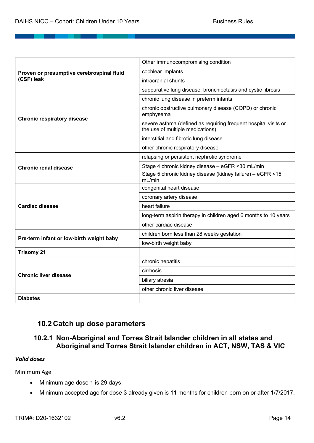|                                           | Other immunocompromising condition                                                                  |
|-------------------------------------------|-----------------------------------------------------------------------------------------------------|
| Proven or presumptive cerebrospinal fluid | cochlear implants                                                                                   |
| (CSF) leak                                | intracranial shunts                                                                                 |
|                                           | suppurative lung disease, bronchiectasis and cystic fibrosis                                        |
|                                           | chronic lung disease in preterm infants                                                             |
| <b>Chronic respiratory disease</b>        | chronic obstructive pulmonary disease (COPD) or chronic<br>emphysema                                |
|                                           | severe asthma (defined as requiring frequent hospital visits or<br>the use of multiple medications) |
|                                           | interstitial and fibrotic lung disease                                                              |
|                                           | other chronic respiratory disease                                                                   |
|                                           | relapsing or persistent nephrotic syndrome                                                          |
| <b>Chronic renal disease</b>              | Stage 4 chronic kidney disease - eGFR <30 mL/min                                                    |
|                                           | Stage 5 chronic kidney disease (kidney failure) - eGFR <15<br>mL/min                                |
|                                           | congenital heart disease                                                                            |
|                                           | coronary artery disease                                                                             |
| <b>Cardiac disease</b>                    | heart failure                                                                                       |
|                                           | long-term aspirin therapy in children aged 6 months to 10 years                                     |
|                                           | other cardiac disease                                                                               |
| Pre-term infant or low-birth weight baby  | children born less than 28 weeks gestation                                                          |
|                                           | low-birth weight baby                                                                               |
| <b>Trisomy 21</b>                         |                                                                                                     |
|                                           | chronic hepatitis                                                                                   |
| <b>Chronic liver disease</b>              | cirrhosis                                                                                           |
|                                           | biliary atresia                                                                                     |
|                                           | other chronic liver disease                                                                         |
| <b>Diabetes</b>                           |                                                                                                     |

# **10.2 Catch up dose parameters**

# **10.2.1 Non-Aboriginal and Torres Strait Islander children in all states and Aboriginal and Torres Strait Islander children in ACT, NSW, TAS & VIC**

#### *Valid doses*

#### Minimum Age

- Minimum age dose 1 is 29 days
- Minimum accepted age for dose 3 already given is 11 months for children born on or after 1/7/2017.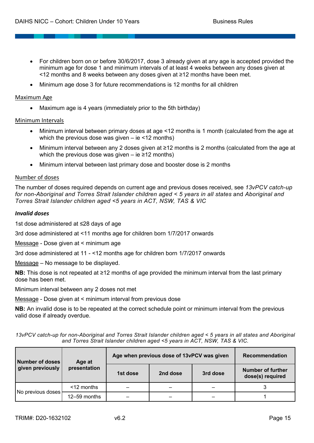- For children born on or before 30/6/2017, dose 3 already given at any age is accepted provided the minimum age for dose 1 and minimum intervals of at least 4 weeks between any doses given at <12 months and 8 weeks between any doses given at ≥12 months have been met.
- Minimum age dose 3 for future recommendations is 12 months for all children

#### Maximum Age

• Maximum age is 4 years (immediately prior to the 5th birthday)

#### Minimum Intervals

- Minimum interval between primary doses at age <12 months is 1 month (calculated from the age at which the previous dose was given – ie <12 months)
- Minimum interval between any 2 doses given at ≥12 months is 2 months (calculated from the age at which the previous dose was given – ie  $\geq 12$  months)
- Minimum interval between last primary dose and booster dose is 2 months

#### Number of doses

The number of doses required depends on current age and previous doses received, see *13vPCV catch-up*  for non-Aboriginal and Torres Strait Islander children aged < 5 years in all states and Aboriginal and *Torres Strait Islander children aged <5 years in ACT, NSW, TAS & VIC* 

#### *Invalid doses*

1st dose administered at ≤28 days of age

3rd dose administered at <11 months age for children born 1/7/2017 onwards

Message - Dose given at < minimum age

3rd dose administered at 11 - <12 months age for children born 1/7/2017 onwards

Message – No message to be displayed.

**NB:** This dose is not repeated at ≥12 months of age provided the minimum interval from the last primary dose has been met.

Minimum interval between any 2 doses not met

Message - Dose given at < minimum interval from previous dose

**NB:** An invalid dose is to be repeated at the correct schedule point or minimum interval from the previous valid dose if already overdue.

*13vPCV catch-up for non-Aboriginal and Torres Strait Islander children aged < 5 years in all states and Aboriginal and Torres Strait Islander children aged <5 years in ACT, NSW, TAS & VIC.*

| <b>Number of doses</b> | Age at<br>presentation | Age when previous dose of 13vPCV was given | <b>Recommendation</b> |          |                                              |
|------------------------|------------------------|--------------------------------------------|-----------------------|----------|----------------------------------------------|
| given previously       |                        | 1st dose                                   | 2nd dose              | 3rd dose | <b>Number of further</b><br>dose(s) required |
|                        | <12 months             |                                            |                       |          |                                              |
| No previous doses      | 12-59 months           |                                            |                       |          |                                              |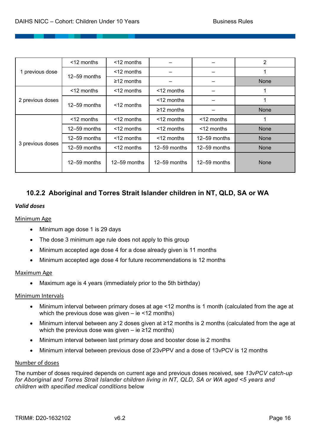|                  | $<$ 12 months | $<$ 12 months    |                  |              | 2           |
|------------------|---------------|------------------|------------------|--------------|-------------|
| 1 previous dose  | 12-59 months  | <12 months       |                  |              |             |
|                  |               | $\geq$ 12 months |                  |              | None        |
|                  | $<$ 12 months | $<$ 12 months    | $<$ 12 months    |              |             |
| 2 previous doses | 12-59 months  | $<$ 12 months    | <12 months       |              |             |
|                  |               |                  | $\geq$ 12 months |              | <b>None</b> |
|                  | <12 months    | <12 months       | <12 months       | <12 months   |             |
|                  | 12-59 months  | <12 months       | <12 months       | <12 months   | None        |
|                  | 12-59 months  | $<$ 12 months    | <12 months       | 12-59 months | None        |
| 3 previous doses | 12-59 months  | <12 months       | 12-59 months     | 12-59 months | None        |
|                  | 12-59 months  | 12-59 months     | 12-59 months     | 12-59 months | <b>None</b> |

# **10.2.2 Aboriginal and Torres Strait Islander children in NT, QLD, SA or WA**

#### *Valid doses*

#### Minimum Age

- Minimum age dose 1 is 29 days
- The dose 3 minimum age rule does not apply to this group
- Minimum accepted age dose 4 for a dose already given is 11 months
- Minimum accepted age dose 4 for future recommendations is 12 months

#### Maximum Age

• Maximum age is 4 years (immediately prior to the 5th birthday)

#### Minimum Intervals

- Minimum interval between primary doses at age <12 months is 1 month (calculated from the age at which the previous dose was given – ie <12 months)
- Minimum interval between any 2 doses given at ≥12 months is 2 months (calculated from the age at which the previous dose was given – ie  $\geq$ 12 months)
- Minimum interval between last primary dose and booster dose is 2 months
- Minimum interval between previous dose of 23vPPV and a dose of 13vPCV is 12 months

#### Number of doses

The number of doses required depends on current age and previous doses received, see *13vPCV catch-up for Aboriginal and Torres Strait Islander children living in NT, QLD, SA or WA aged <5 years and children with specified medical conditions* below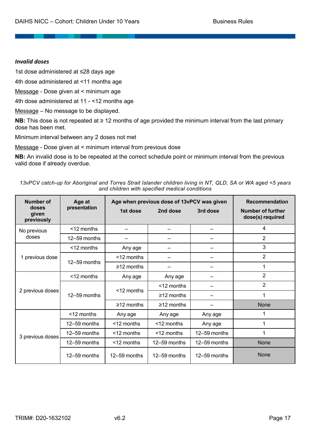#### *Invalid doses*

1st dose administered at ≤28 days age

4th dose administered at <11 months age

Message - Dose given at < minimum age

4th dose administered at 11 - <12 months age

Message – No message to be displayed.

**NB:** This dose is not repeated at ≥ 12 months of age provided the minimum interval from the last primary dose has been met.

Minimum interval between any 2 doses not met

Message - Dose given at < minimum interval from previous dose

**NB:** An invalid dose is to be repeated at the correct schedule point or minimum interval from the previous valid dose if already overdue.

*13vPCV catch-up for Aboriginal and Torres Strait Islander children living in NT, QLD, SA or WA aged <5 years and children with specified medical conditions*

| <b>Number of</b>             | Age at           | Age when previous dose of 13vPCV was given | <b>Recommendation</b> |              |                                              |
|------------------------------|------------------|--------------------------------------------|-----------------------|--------------|----------------------------------------------|
| doses<br>given<br>previously | presentation     | 1st dose                                   | 2nd dose              | 3rd dose     | <b>Number of further</b><br>dose(s) required |
| No previous                  | $<$ 12 months    |                                            |                       |              | 4                                            |
| doses                        | 12-59 months     |                                            |                       |              | 2                                            |
|                              | <12 months       | Any age                                    |                       |              | 3                                            |
| 1 previous dose              |                  | $<$ 12 months                              |                       |              | $\overline{2}$                               |
|                              | 12-59 months     | $\geq$ 12 months                           |                       |              | 1                                            |
|                              | <12 months       | Any age                                    | Any age               |              | $\overline{2}$                               |
|                              | 12-59 months     |                                            | <12 months            |              | $\overline{2}$                               |
| 2 previous doses             |                  | <12 months                                 | $\geq$ 12 months      |              | 1                                            |
|                              |                  | $\geq$ 12 months                           | $\geq$ 12 months      |              | <b>None</b>                                  |
|                              | <12 months       | Any age                                    | Any age               | Any age      | 1                                            |
|                              | 12-59 months     | <12 months                                 | $<$ 12 months         | Any age      | 1                                            |
| 3 previous doses             | 12-59 months     | <12 months                                 | <12 months            | 12-59 months | 1                                            |
|                              | 12-59 months     | <12 months                                 | 12-59 months          | 12-59 months | None                                         |
|                              | $12 - 59$ months | 12-59 months                               | 12-59 months          | 12-59 months | <b>None</b>                                  |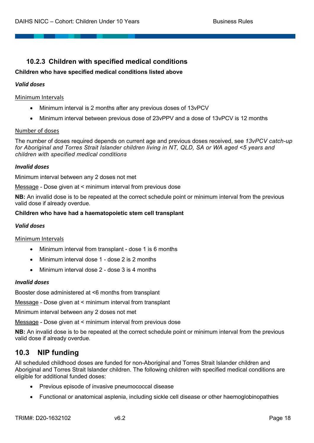# **10.2.3 Children with specified medical conditions**

#### **Children who have specified medical conditions listed above**

#### *Valid doses*

#### Minimum Intervals

- Minimum interval is 2 months after any previous doses of 13vPCV
- Minimum interval between previous dose of 23vPPV and a dose of 13vPCV is 12 months

#### Number of doses

The number of doses required depends on current age and previous doses received, see *13vPCV catch-up for Aboriginal and Torres Strait Islander children living in NT, QLD, SA or WA aged <5 years and children with specified medical conditions*

#### *Invalid doses*

Minimum interval between any 2 doses not met

Message - Dose given at < minimum interval from previous dose

**NB:** An invalid dose is to be repeated at the correct schedule point or minimum interval from the previous valid dose if already overdue.

#### **Children who have had a haematopoietic stem cell transplant**

#### *Valid doses*

Minimum Intervals

- Minimum interval from transplant dose 1 is 6 months
- Minimum interval dose 1 dose 2 is 2 months
- Minimum interval dose 2 dose 3 is 4 months

#### *Invalid doses*

Booster dose administered at <6 months from transplant

Message - Dose given at < minimum interval from transplant

Minimum interval between any 2 doses not met

Message - Dose given at < minimum interval from previous dose

**NB:** An invalid dose is to be repeated at the correct schedule point or minimum interval from the previous valid dose if already overdue.

# **10.3 NIP funding**

All scheduled childhood doses are funded for non-Aboriginal and Torres Strait Islander children and Aboriginal and Torres Strait Islander children. The following children with specified medical conditions are eligible for additional funded doses:

- Previous episode of invasive pneumococcal disease
- Functional or anatomical asplenia, including sickle cell disease or other haemoglobinopathies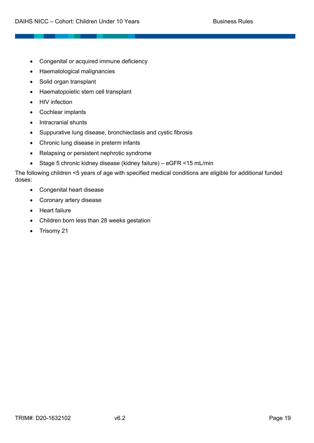- Congenital or acquired immune deficiency
- Haematological malignancies
- Solid organ transplant
- Haematopoietic stem cell transplant
- HIV infection
- Cochlear implants
- Intracranial shunts
- Suppurative lung disease, bronchiectasis and cystic fibrosis
- Chronic lung disease in preterm infants
- Relapsing or persistent nephrotic syndrome
- Stage 5 chronic kidney disease (kidney failure) eGFR <15 mL/min

The following children <5 years of age with specified medical conditions are eligible for additional funded doses:

- Congenital heart disease
- Coronary artery disease
- Heart failure
- Children born less than 28 weeks gestation
- Trisomy 21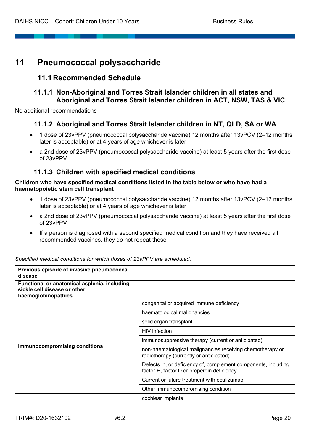# **11 Pneumococcal polysaccharide**

# **11.1 Recommended Schedule**

# **11.1.1 Non-Aboriginal and Torres Strait Islander children in all states and Aboriginal and Torres Strait Islander children in ACT, NSW, TAS & VIC**

No additional recommendations

# **11.1.2 Aboriginal and Torres Strait Islander children in NT, QLD, SA or WA**

- 1 dose of 23vPPV (pneumococcal polysaccharide vaccine) 12 months after 13vPCV (2–12 months later is acceptable) or at 4 years of age whichever is later
- a 2nd dose of 23vPPV (pneumococcal polysaccharide vaccine) at least 5 years after the first dose of 23vPPV

# **11.1.3 Children with specified medical conditions**

#### **Children who have specified medical conditions listed in the table below or who have had a haematopoietic stem cell transplant**

- 1 dose of 23vPPV (pneumococcal polysaccharide vaccine) 12 months after 13vPCV (2–12 months later is acceptable) or at 4 years of age whichever is later
- a 2nd dose of 23vPPV (pneumococcal polysaccharide vaccine) at least 5 years after the first dose of 23vPPV
- If a person is diagnosed with a second specified medical condition and they have received all recommended vaccines, they do not repeat these

| Previous episode of invasive pneumococcal<br>disease                                                |                                                                                                              |
|-----------------------------------------------------------------------------------------------------|--------------------------------------------------------------------------------------------------------------|
| Functional or anatomical asplenia, including<br>sickle cell disease or other<br>haemoglobinopathies |                                                                                                              |
|                                                                                                     | congenital or acquired immune deficiency                                                                     |
|                                                                                                     | haematological malignancies                                                                                  |
|                                                                                                     | solid organ transplant                                                                                       |
|                                                                                                     | HIV infection                                                                                                |
|                                                                                                     | immunosuppressive therapy (current or anticipated)                                                           |
| <b>Immunocompromising conditions</b>                                                                | non-haematological malignancies receiving chemotherapy or<br>radiotherapy (currently or anticipated)         |
|                                                                                                     | Defects in, or deficiency of, complement components, including<br>factor H, factor D or properdin deficiency |
|                                                                                                     | Current or future treatment with eculizumab                                                                  |
|                                                                                                     | Other immunocompromising condition                                                                           |
|                                                                                                     | cochlear implants                                                                                            |

*Specified medical conditions for which doses of 23vPPV are scheduled.*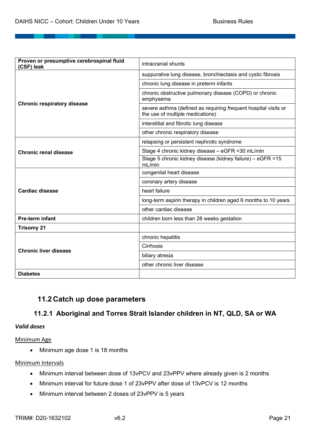| Proven or presumptive cerebrospinal fluid<br>(CSF) leak | intracranial shunts                                                                                 |  |
|---------------------------------------------------------|-----------------------------------------------------------------------------------------------------|--|
|                                                         | suppurative lung disease, bronchiectasis and cystic fibrosis                                        |  |
|                                                         | chronic lung disease in preterm infants                                                             |  |
| <b>Chronic respiratory disease</b>                      | chronic obstructive pulmonary disease (COPD) or chronic<br>emphysema                                |  |
|                                                         | severe asthma (defined as requiring frequent hospital visits or<br>the use of multiple medications) |  |
|                                                         | interstitial and fibrotic lung disease                                                              |  |
|                                                         | other chronic respiratory disease                                                                   |  |
|                                                         | relapsing or persistent nephrotic syndrome                                                          |  |
| Chronic renal disease                                   | Stage 4 chronic kidney disease - eGFR <30 mL/min                                                    |  |
|                                                         | Stage 5 chronic kidney disease (kidney failure) - eGFR <15<br>mL/min                                |  |
|                                                         | congenital heart disease                                                                            |  |
|                                                         | coronary artery disease                                                                             |  |
| <b>Cardiac disease</b>                                  | heart failure                                                                                       |  |
|                                                         | long-term aspirin therapy in children aged 6 months to 10 years                                     |  |
|                                                         | other cardiac disease                                                                               |  |
| Pre-term infant                                         | children born less than 28 weeks gestation                                                          |  |
| <b>Trisomy 21</b>                                       |                                                                                                     |  |
|                                                         | chronic hepatitis                                                                                   |  |
| <b>Chronic liver disease</b>                            | Cirrhosis                                                                                           |  |
|                                                         | biliary atresia                                                                                     |  |
|                                                         | other chronic liver disease                                                                         |  |
| <b>Diabetes</b>                                         |                                                                                                     |  |

# **11.2 Catch up dose parameters**

# **11.2.1 Aboriginal and Torres Strait Islander children in NT, QLD, SA or WA**

#### *Valid doses*

Minimum Age

• Minimum age dose 1 is 18 months

#### Minimum Intervals

- Minimum interval between dose of 13vPCV and 23vPPV where already given is 2 months
- Minimum interval for future dose 1 of 23vPPV after dose of 13vPCV is 12 months
- Minimum interval between 2 doses of 23vPPV is 5 years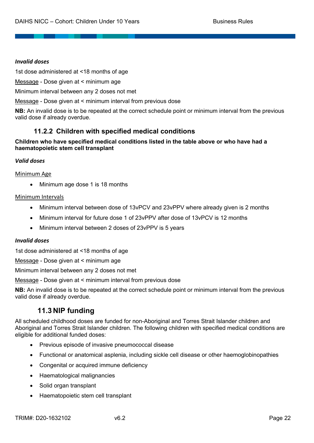#### *Invalid doses*

1st dose administered at <18 months of age

Message - Dose given at < minimum age

Minimum interval between any 2 doses not met

Message - Dose given at < minimum interval from previous dose

**NB:** An invalid dose is to be repeated at the correct schedule point or minimum interval from the previous valid dose if already overdue.

# **11.2.2 Children with specified medical conditions**

#### **Children who have specified medical conditions listed in the table above or who have had a haematopoietic stem cell transplant**

#### *Valid doses*

#### Minimum Age

• Minimum age dose 1 is 18 months

#### Minimum Intervals

- Minimum interval between dose of 13vPCV and 23vPPV where already given is 2 months
- Minimum interval for future dose 1 of 23vPPV after dose of 13vPCV is 12 months
- Minimum interval between 2 doses of 23vPPV is 5 years

#### *Invalid doses*

1st dose administered at <18 months of age

Message - Dose given at < minimum age

Minimum interval between any 2 doses not met

Message - Dose given at < minimum interval from previous dose

**NB:** An invalid dose is to be repeated at the correct schedule point or minimum interval from the previous valid dose if already overdue.

# **11.3 NIP funding**

All scheduled childhood doses are funded for non-Aboriginal and Torres Strait Islander children and Aboriginal and Torres Strait Islander children. The following children with specified medical conditions are eligible for additional funded doses:

- Previous episode of invasive pneumococcal disease
- Functional or anatomical asplenia, including sickle cell disease or other haemoglobinopathies
- Congenital or acquired immune deficiency
- Haematological malignancies
- Solid organ transplant
- Haematopoietic stem cell transplant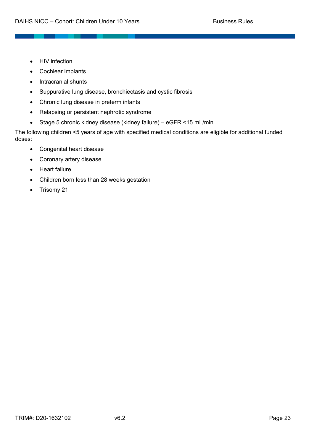- HIV infection
- Cochlear implants
- Intracranial shunts
- Suppurative lung disease, bronchiectasis and cystic fibrosis
- Chronic lung disease in preterm infants
- Relapsing or persistent nephrotic syndrome
- Stage 5 chronic kidney disease (kidney failure) eGFR <15 mL/min

The following children <5 years of age with specified medical conditions are eligible for additional funded doses:

- Congenital heart disease
- Coronary artery disease
- Heart failure
- Children born less than 28 weeks gestation
- Trisomy 21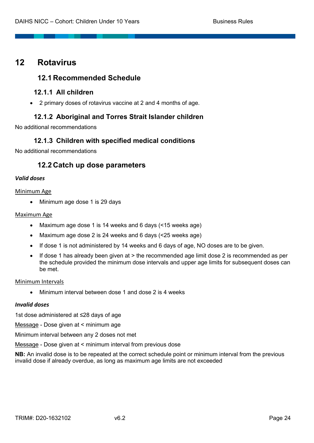# **12 Rotavirus**

# **12.1 Recommended Schedule**

# **12.1.1 All children**

• 2 primary doses of rotavirus vaccine at 2 and 4 months of age.

# **12.1.2 Aboriginal and Torres Strait Islander children**

No additional recommendations

# **12.1.3 Children with specified medical conditions**

No additional recommendations

# **12.2 Catch up dose parameters**

# *Valid doses*

#### Minimum Age

• Minimum age dose 1 is 29 days

#### Maximum Age

- Maximum age dose 1 is 14 weeks and 6 days (<15 weeks age)
- Maximum age dose 2 is 24 weeks and 6 days (<25 weeks age)
- If dose 1 is not administered by 14 weeks and 6 days of age, NO doses are to be given.
- If dose 1 has already been given at  $>$  the recommended age limit dose 2 is recommended as per the schedule provided the minimum dose intervals and upper age limits for subsequent doses can be met.

#### Minimum Intervals

• Minimum interval between dose 1 and dose 2 is 4 weeks

#### *Invalid doses*

1st dose administered at ≤28 days of age

Message - Dose given at < minimum age

Minimum interval between any 2 doses not met

Message - Dose given at < minimum interval from previous dose

**NB:** An invalid dose is to be repeated at the correct schedule point or minimum interval from the previous invalid dose if already overdue, as long as maximum age limits are not exceeded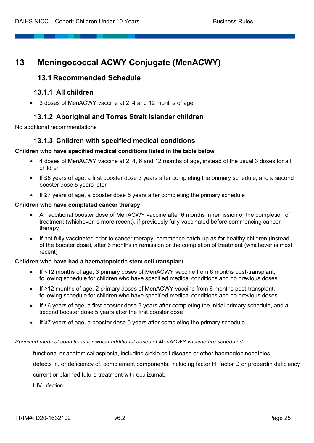# **13 Meningococcal ACWY Conjugate (MenACWY)**

# **13.1 Recommended Schedule**

# **13.1.1 All children**

• 3 doses of MenACWY vaccine at 2, 4 and 12 months of age

# **13.1.2 Aboriginal and Torres Strait Islander children**

No additional recommendations

# **13.1.3 Children with specified medical conditions**

#### **Children who have specified medical conditions listed in the table below**

- 4 doses of MenACWY vaccine at 2, 4, 6 and 12 months of age, instead of the usual 3 doses for all children
- If ≤6 years of age, a first booster dose 3 years after completing the primary schedule, and a second booster dose 5 years later
- If ≥7 years of age, a booster dose 5 years after completing the primary schedule

#### **Children who have completed cancer therapy**

- An additional booster dose of MenACWY vaccine after 6 months in remission or the completion of treatment (whichever is more recent), if previously fully vaccinated before commencing cancer therapy
- If not fully vaccinated prior to cancer therapy, commence catch-up as for healthy children (instead of the booster dose), after 6 months in remission or the completion of treatment (whichever is most recent)

#### **Children who have had a haematopoietic stem cell transplant**

- If <12 months of age, 3 primary doses of MenACWY vaccine from 6 months post-transplant, following schedule for children who have specified medical conditions and no previous doses
- If ≥12 months of age, 2 primary doses of MenACWY vaccine from 6 months post-transplant, following schedule for children who have specified medical conditions and no previous doses
- If ≤6 years of age, a first booster dose 3 years after completing the initial primary schedule, and a second booster dose 5 years after the first booster dose
- If ≥7 years of age, a booster dose 5 years after completing the primary schedule

*Specified medical conditions for which additional doses of MenACWY vaccine are scheduled.*

functional or anatomical asplenia, including sickle cell disease or other haemoglobinopathies

defects in, or deficiency of, complement components, including factor H, factor D or properdin deficiency

current or planned future treatment with eculizumab

HIV infection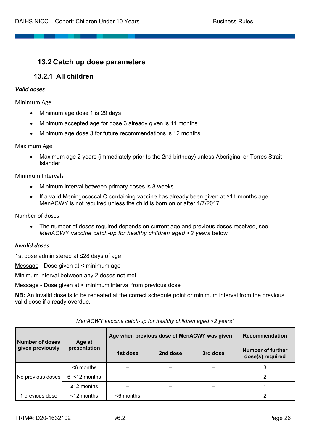# **13.2 Catch up dose parameters**

# **13.2.1 All children**

#### *Valid doses*

#### Minimum Age

- Minimum age dose 1 is 29 days
- Minimum accepted age for dose 3 already given is 11 months
- Minimum age dose 3 for future recommendations is 12 months

#### Maximum Age

• Maximum age 2 years (immediately prior to the 2nd birthday) unless Aboriginal or Torres Strait Islander

#### Minimum Intervals

- Minimum interval between primary doses is 8 weeks
- If a valid Meningococcal C-containing vaccine has already been given at ≥11 months age, MenACWY is not required unless the child is born on or after 1/7/2017.

#### Number of doses

• The number of doses required depends on current age and previous doses received, see *MenACWY vaccine catch-up for healthy children aged <2 years* below

#### *Invalid doses*

1st dose administered at ≤28 days of age

Message - Dose given at < minimum age

Minimum interval between any 2 doses not met

Message - Dose given at < minimum interval from previous dose

**NB:** An invalid dose is to be repeated at the correct schedule point or minimum interval from the previous valid dose if already overdue.

| Number of doses   | Age at           | Age when previous dose of MenACWY was given | Recommendation |          |                                              |
|-------------------|------------------|---------------------------------------------|----------------|----------|----------------------------------------------|
| given previously  | presentation     | 1st dose                                    | 2nd dose       | 3rd dose | <b>Number of further</b><br>dose(s) required |
|                   | $<$ 6 months     |                                             |                |          |                                              |
| No previous doses | $6 - 12$ months  |                                             |                |          | າ                                            |
|                   | $\geq$ 12 months |                                             |                |          |                                              |
| previous dose     | $<$ 12 months    | <6 months                                   |                |          |                                              |

#### *MenACWY vaccine catch-up for healthy children aged <2 years\**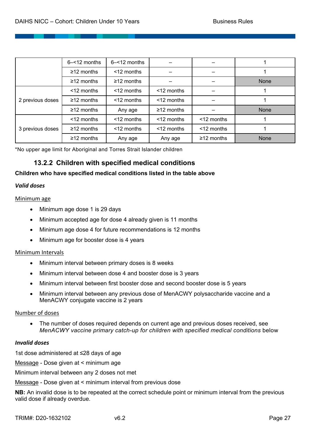|                  | $6 - 12$ months  | $6 - 12$ months  |                  |                  |      |
|------------------|------------------|------------------|------------------|------------------|------|
|                  | $\geq$ 12 months | <12 months       |                  |                  |      |
|                  | $\geq$ 12 months | $\geq$ 12 months |                  |                  | None |
|                  | <12 months       | <12 months       | <12 months       |                  |      |
| 2 previous doses | $\geq$ 12 months | $<$ 12 months    | <12 months       |                  |      |
|                  | $\geq$ 12 months | Any age          | $\geq$ 12 months |                  | None |
| 3 previous doses | <12 months       | $<$ 12 months    | <12 months       | <12 months       |      |
|                  | $\geq$ 12 months | <12 months       | <12 months       | <12 months       |      |
|                  | $\geq$ 12 months | Any age          | Any age          | $\geq$ 12 months | None |

\*No upper age limit for Aboriginal and Torres Strait Islander children

# **13.2.2 Children with specified medical conditions**

#### **Children who have specified medical conditions listed in the table above**

#### *Valid doses*

#### Minimum age

- Minimum age dose 1 is 29 days
- Minimum accepted age for dose 4 already given is 11 months
- Minimum age dose 4 for future recommendations is 12 months
- Minimum age for booster dose is 4 years

#### Minimum Intervals

- Minimum interval between primary doses is 8 weeks
- Minimum interval between dose 4 and booster dose is 3 years
- Minimum interval between first booster dose and second booster dose is 5 years
- Minimum interval between any previous dose of MenACWY polysaccharide vaccine and a MenACWY conjugate vaccine is 2 years

#### Number of doses

• The number of doses required depends on current age and previous doses received, see *MenACWY vaccine primary catch-up for children with specified medical conditions below* 

#### *Invalid doses*

1st dose administered at ≤28 days of age

Message - Dose given at < minimum age

Minimum interval between any 2 doses not met

Message - Dose given at < minimum interval from previous dose

**NB:** An invalid dose is to be repeated at the correct schedule point or minimum interval from the previous valid dose if already overdue.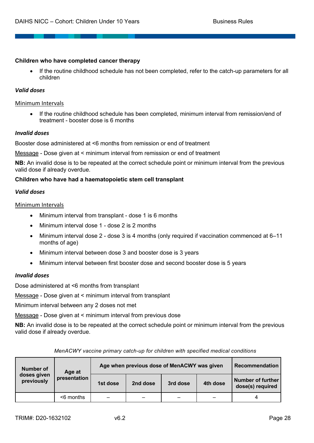#### **Children who have completed cancer therapy**

• If the routine childhood schedule has not been completed, refer to the catch-up parameters for all children

#### *Valid doses*

#### Minimum Intervals

• If the routine childhood schedule has been completed, minimum interval from remission/end of treatment - booster dose is 6 months

#### *Invalid doses*

Booster dose administered at <6 months from remission or end of treatment

Message - Dose given at < minimum interval from remission or end of treatment

**NB:** An invalid dose is to be repeated at the correct schedule point or minimum interval from the previous valid dose if already overdue.

#### **Children who have had a haematopoietic stem cell transplant**

#### *Valid doses*

#### Minimum Intervals

- Minimum interval from transplant dose 1 is 6 months
- Minimum interval dose 1 dose 2 is 2 months
- Minimum interval dose 2 dose 3 is 4 months (only required if vaccination commenced at 6–11 months of age)
- Minimum interval between dose 3 and booster dose is 3 years
- Minimum interval between first booster dose and second booster dose is 5 years

#### *Invalid doses*

Dose administered at <6 months from transplant

Message - Dose given at < minimum interval from transplant

Minimum interval between any 2 doses not met

Message - Dose given at < minimum interval from previous dose

**NB:** An invalid dose is to be repeated at the correct schedule point or minimum interval from the previous valid dose if already overdue.

| Number of                 | Age at       | Age when previous dose of MenACWY was given | <b>Recommendation</b> |          |          |                                              |
|---------------------------|--------------|---------------------------------------------|-----------------------|----------|----------|----------------------------------------------|
| doses given<br>previously | presentation | 1st dose                                    | 2nd dose              | 3rd dose | 4th dose | <b>Number of further</b><br>dose(s) required |
|                           | $<$ 6 months |                                             |                       |          |          | 4                                            |

*MenACWY vaccine primary catch-up for children with specified medical conditions*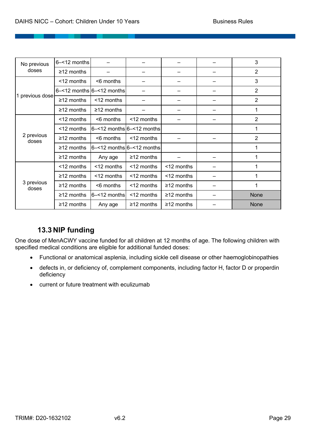| No previous         | 6-<12 months     |                                 |                  |                  | 3              |
|---------------------|------------------|---------------------------------|------------------|------------------|----------------|
| doses               | $\geq$ 12 months |                                 |                  |                  | $\overline{2}$ |
|                     | <12 months       | <6 months                       |                  |                  | 3              |
|                     |                  | $6 - 12$ months $6 - 12$ months |                  |                  | $\overline{2}$ |
| 1 previous dose     | $≥12$ months     | <12 months                      |                  |                  | $\overline{2}$ |
|                     | $\geq$ 12 months | $\geq$ 12 months                |                  |                  |                |
|                     | <12 months       | <6 months                       | <12 months       |                  | $\overline{2}$ |
|                     | <12 months       | $6 - 12$ months $6 - 12$ months |                  |                  |                |
| 2 previous<br>doses | $\geq$ 12 months | <6 months                       | $<$ 12 months    |                  | $\overline{2}$ |
|                     | $≥12$ months     | $6 - 12$ months $6 - 12$ months |                  |                  | 1              |
|                     | $\geq$ 12 months | Any age                         | $\geq$ 12 months |                  |                |
|                     | <12 months       | <12 months                      | <12 months       | <12 months       |                |
|                     | $\geq$ 12 months | <12 months                      | <12 months       | <12 months       |                |
| 3 previous<br>doses | $\geq$ 12 months | <6 months                       | <12 months       | $\geq$ 12 months |                |
|                     | $≥12$ months     | 6-<12 months                    | <12 months       | $\geq$ 12 months | None           |
|                     | $≥12$ months     | Any age                         | $\geq$ 12 months | $\geq$ 12 months | <b>None</b>    |

# **13.3 NIP funding**

One dose of MenACWY vaccine funded for all children at 12 months of age. The following children with specified medical conditions are eligible for additional funded doses:

- Functional or anatomical asplenia, including sickle cell disease or other haemoglobinopathies
- defects in, or deficiency of, complement components, including factor H, factor D or properdin deficiency
- current or future treatment with eculizumab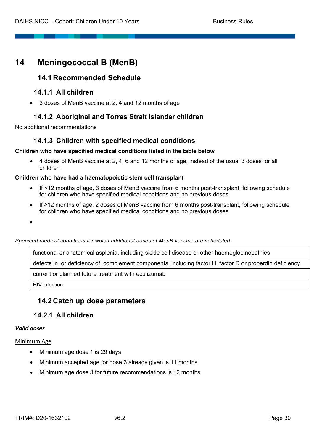# **14 Meningococcal B (MenB)**

# **14.1 Recommended Schedule**

### **14.1.1 All children**

• 3 doses of MenB vaccine at 2, 4 and 12 months of age

# **14.1.2 Aboriginal and Torres Strait Islander children**

No additional recommendations

# **14.1.3 Children with specified medical conditions**

#### **Children who have specified medical conditions listed in the table below**

• 4 doses of MenB vaccine at 2, 4, 6 and 12 months of age, instead of the usual 3 doses for all children

#### **Children who have had a haematopoietic stem cell transplant**

- If <12 months of age, 3 doses of MenB vaccine from 6 months post-transplant, following schedule for children who have specified medical conditions and no previous doses
- If ≥12 months of age, 2 doses of MenB vaccine from 6 months post-transplant, following schedule for children who have specified medical conditions and no previous doses
- •

*Specified medical conditions for which additional doses of MenB vaccine are scheduled.*

functional or anatomical asplenia, including sickle cell disease or other haemoglobinopathies

defects in, or deficiency of, complement components, including factor H, factor D or properdin deficiency

current or planned future treatment with eculizumab

HIV infection

# **14.2 Catch up dose parameters**

# **14.2.1 All children**

#### *Valid doses*

#### Minimum Age

- Minimum age dose 1 is 29 days
- Minimum accepted age for dose 3 already given is 11 months
- Minimum age dose 3 for future recommendations is 12 months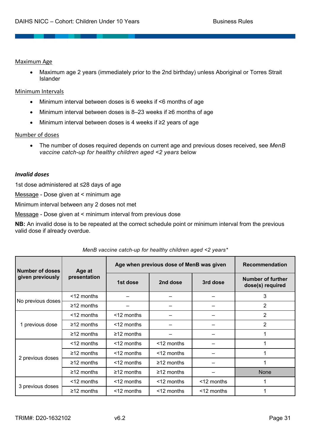#### Maximum Age

• Maximum age 2 years (immediately prior to the 2nd birthday) unless Aboriginal or Torres Strait Islander

#### Minimum Intervals

- Minimum interval between doses is 6 weeks if <6 months of age
- Minimum interval between doses is 8–23 weeks if ≥6 months of age
- Minimum interval between doses is 4 weeks if ≥2 years of age

#### Number of doses

• The number of doses required depends on current age and previous doses received, see *MenB vaccine catch-up for healthy children aged <2 years* below

#### *Invalid doses*

1st dose administered at ≤28 days of age

Message - Dose given at < minimum age

Minimum interval between any 2 doses not met

Message - Dose given at < minimum interval from previous dose

**NB:** An invalid dose is to be repeated at the correct schedule point or minimum interval from the previous valid dose if already overdue.

| Number of doses   | Age at           | Age when previous dose of MenB was given | <b>Recommendation</b> |               |                                              |
|-------------------|------------------|------------------------------------------|-----------------------|---------------|----------------------------------------------|
| given previously  | presentation     | 1st dose                                 | 2nd dose              | 3rd dose      | <b>Number of further</b><br>dose(s) required |
|                   | $<$ 12 months    |                                          |                       |               | 3                                            |
| No previous doses | $\geq$ 12 months |                                          |                       |               | $\overline{2}$                               |
|                   | $<$ 12 months    | $<$ 12 months                            |                       |               | 2                                            |
| 1 previous dose   | $\geq$ 12 months | $<$ 12 months                            |                       |               | 2                                            |
|                   | $\geq$ 12 months | $\geq$ 12 months                         |                       |               |                                              |
|                   | $<$ 12 months    | $<$ 12 months                            | <12 months            |               |                                              |
|                   | $\geq$ 12 months | $<$ 12 months                            | $<$ 12 months         |               |                                              |
| 2 previous doses  | $\geq$ 12 months | $<$ 12 months                            | $\geq$ 12 months      |               |                                              |
|                   | $\geq$ 12 months | $\geq$ 12 months                         | $\geq$ 12 months      |               | <b>None</b>                                  |
|                   | $<$ 12 months    | $<$ 12 months                            | <12 months            | $<$ 12 months |                                              |
| 3 previous doses  | $\geq$ 12 months | <12 months                               | <12 months            | <12 months    |                                              |

*MenB vaccine catch-up for healthy children aged <2 years\**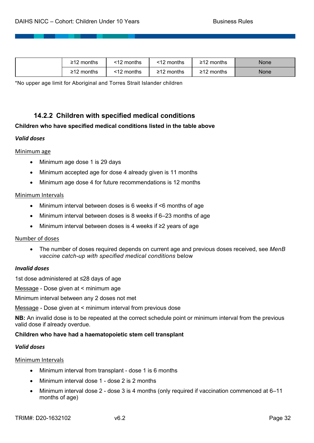| 2 months<br>≥12  | $-10-$<br>12 months | <12 months | -10<br>∶months        | None |
|------------------|---------------------|------------|-----------------------|------|
| $\geq$ 12 months | <12 months          | ≥12 months | <b>10</b><br>2 months | None |

\*No upper age limit for Aboriginal and Torres Strait Islander children

# **14.2.2 Children with specified medical conditions**

#### **Children who have specified medical conditions listed in the table above**

#### *Valid doses*

#### Minimum age

- Minimum age dose 1 is 29 days
- Minimum accepted age for dose 4 already given is 11 months
- Minimum age dose 4 for future recommendations is 12 months

#### Minimum Intervals

- Minimum interval between doses is 6 weeks if <6 months of age
- Minimum interval between doses is 8 weeks if 6–23 months of age
- Minimum interval between doses is 4 weeks if ≥2 years of age

#### Number of doses

• The number of doses required depends on current age and previous doses received, see *MenB vaccine catch-up with specified medical conditions* below

#### *Invalid doses*

1st dose administered at ≤28 days of age

Message - Dose given at < minimum age

Minimum interval between any 2 doses not met

Message - Dose given at < minimum interval from previous dose

**NB:** An invalid dose is to be repeated at the correct schedule point or minimum interval from the previous valid dose if already overdue.

#### **Children who have had a haematopoietic stem cell transplant**

#### *Valid doses*

#### Minimum Intervals

- Minimum interval from transplant dose 1 is 6 months
- Minimum interval dose 1 dose 2 is 2 months
- Minimum interval dose 2 dose 3 is 4 months (only required if vaccination commenced at 6–11 months of age)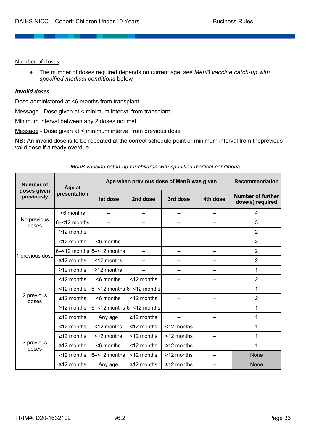Number of doses

• The number of doses required depends on current age, see *MenB vaccine catch-up with specified medical conditions* below

#### *Invalid doses*

Dose administered at <6 months from transplant

Message - Dose given at < minimum interval from transplant

Minimum interval between any 2 doses not met

Message - Dose given at < minimum interval from previous dose

**NB:** An invalid dose is to be repeated at the correct schedule point or minimum interval from theprevious valid dose if already overdue.

| Number of                 | Age at           | Age when previous dose of MenB was given | <b>Recommendation</b> |                  |          |                                              |
|---------------------------|------------------|------------------------------------------|-----------------------|------------------|----------|----------------------------------------------|
| doses given<br>previously | presentation     | 1st dose                                 | 2nd dose              | 3rd dose         | 4th dose | <b>Number of further</b><br>dose(s) required |
|                           | <6 months        |                                          |                       |                  |          | 4                                            |
| No previous<br>doses      | 6-<12 months     |                                          |                       |                  |          | 3                                            |
|                           | $\geq$ 12 months |                                          |                       |                  |          | $\overline{2}$                               |
|                           | <12 months       | <6 months                                |                       |                  |          | 3                                            |
|                           |                  | $6 - 12$ months $6 - 12$ months          |                       |                  |          | 2                                            |
| 1 previous dose           | $\geq$ 12 months | <12 months                               |                       |                  |          | $\overline{2}$                               |
|                           | $\geq$ 12 months | $\geq$ 12 months                         |                       |                  |          | 1                                            |
|                           | <12 months       | <6 months                                | <12 months            |                  |          | $\overline{2}$                               |
|                           | <12 months       | $6 - 12$ months $6 - 12$ months          |                       |                  |          | 1                                            |
| 2 previous<br>doses       | $\geq$ 12 months | <6 months                                | <12 months            |                  |          | $\overline{2}$                               |
|                           | $\geq$ 12 months | $6 - 12$ months $6 - 12$ months          |                       |                  |          | 1                                            |
|                           | $\geq$ 12 months | Any age                                  | $\geq$ 12 months      |                  |          | 1                                            |
|                           | <12 months       | <12 months                               | <12 months            | <12 months       |          | 1                                            |
|                           | $\geq$ 12 months | <12 months                               | <12 months            | <12 months       |          | 1                                            |
| 3 previous<br>doses       | $\geq$ 12 months | <6 months                                | <12 months            | $\geq$ 12 months |          | 1                                            |
|                           | $\geq$ 12 months | $6 - 12$ months                          | <12 months            | $\geq$ 12 months |          | <b>None</b>                                  |
|                           | $\geq$ 12 months | Any age                                  | $\geq$ 12 months      | $\geq$ 12 months |          | None                                         |

#### *MenB vaccine catch-up for children with specified medical conditions*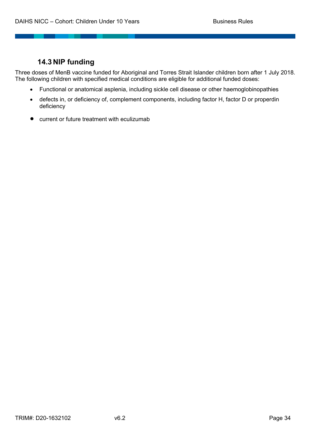# **14.3 NIP funding**

Three doses of MenB vaccine funded for Aboriginal and Torres Strait Islander children born after 1 July 2018. The following children with specified medical conditions are eligible for additional funded doses:

- Functional or anatomical asplenia, including sickle cell disease or other haemoglobinopathies
- defects in, or deficiency of, complement components, including factor H, factor D or properdin deficiency
- current or future treatment with eculizumab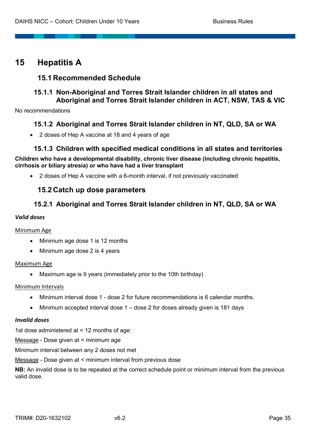# **15 Hepatitis A**

# **15.1 Recommended Schedule**

# **15.1.1 Non-Aboriginal and Torres Strait Islander children in all states and Aboriginal and Torres Strait Islander children in ACT, NSW, TAS & VIC**

No recommendations

# **15.1.2 Aboriginal and Torres Strait Islander children in NT, QLD, SA or WA**

• 2 doses of Hep A vaccine at 18 and 4 years of age

# **15.1.3 Children with specified medical conditions in all states and territories**

**Children who have a developmental disability, chronic liver disease (including chronic hepatitis, cirrhosis or biliary atresia) or who have had a liver transplant**

• 2 doses of Hep A vaccine with a 6-month interval, if not previously vaccinated

# **15.2 Catch up dose parameters**

# **15.2.1 Aboriginal and Torres Strait Islander children in NT, QLD, SA or WA**

#### *Valid doses*

#### Minimum Age

- Minimum age dose 1 is 12 months
- Minimum age dose 2 is 4 years

#### Maximum Age

• Maximum age is 9 years (immediately prior to the 10th birthday)

#### Minimum Intervals

- Minimum interval dose 1 dose 2 for future recommendations is 6 calendar months.
- Minimum accepted interval dose 1 dose 2 for doses already given is 181 days

#### *Invalid doses*

1st dose administered at < 12 months of age:

Message - Dose given at < minimum age

Minimum interval between any 2 doses not met

Message - Dose given at < minimum interval from previous dose

**NB:** An invalid dose is to be repeated at the correct schedule point or minimum interval from the previous valid dose.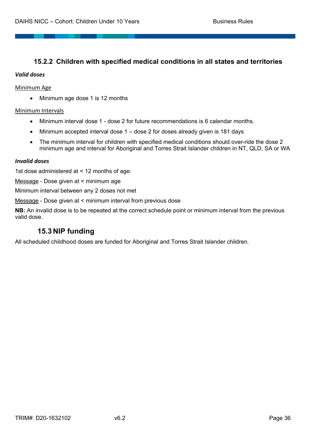# **15.2.2 Children with specified medical conditions in all states and territories**

#### *Valid doses*

#### Minimum Age

• Minimum age dose 1 is 12 months

#### Minimum Intervals

- Minimum interval dose 1 dose 2 for future recommendations is 6 calendar months.
- Minimum accepted interval dose 1 dose 2 for doses already given is 181 days
- The minimum interval for children with specified medical conditions should over-ride the dose 2 minimum age and interval for Aboriginal and Torres Strait Islander children in NT, QLD, SA or WA

#### *Invalid doses*

1st dose administered at < 12 months of age:

Message - Dose given at < minimum age

Minimum interval between any 2 doses not met

Message - Dose given at < minimum interval from previous dose

**NB:** An invalid dose is to be repeated at the correct schedule point or minimum interval from the previous valid dose.

# **15.3 NIP funding**

All scheduled childhood doses are funded for Aboriginal and Torres Strait Islander children.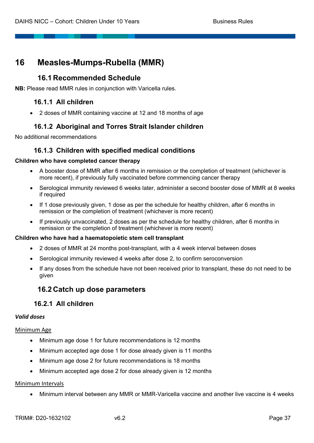# **16 Measles-Mumps-Rubella (MMR)**

# **16.1 Recommended Schedule**

**NB:** Please read MMR rules in conjunction with Varicella rules.

# **16.1.1 All children**

• 2 doses of MMR containing vaccine at 12 and 18 months of age

# **16.1.2 Aboriginal and Torres Strait Islander children**

No additional recommendations

# **16.1.3 Children with specified medical conditions**

#### **Children who have completed cancer therapy**

- A booster dose of MMR after 6 months in remission or the completion of treatment (whichever is more recent), if previously fully vaccinated before commencing cancer therapy
- Serological immunity reviewed 6 weeks later, administer a second booster dose of MMR at 8 weeks if required
- If 1 dose previously given, 1 dose as per the schedule for healthy children, after 6 months in remission or the completion of treatment (whichever is more recent)
- If previously unvaccinated, 2 doses as per the schedule for healthy children, after 6 months in remission or the completion of treatment (whichever is more recent)

#### **Children who have had a haematopoietic stem cell transplant**

- 2 doses of MMR at 24 months post-transplant, with a 4 week interval between doses
- Serological immunity reviewed 4 weeks after dose 2, to confirm seroconversion
- If any doses from the schedule have not been received prior to transplant, these do not need to be given

# **16.2 Catch up dose parameters**

# **16.2.1 All children**

#### *Valid doses*

#### Minimum Age

- Minimum age dose 1 for future recommendations is 12 months
- Minimum accepted age dose 1 for dose already given is 11 months
- Minimum age dose 2 for future recommendations is 18 months
- Minimum accepted age dose 2 for dose already given is 12 months

#### Minimum Intervals

• Minimum interval between any MMR or MMR-Varicella vaccine and another live vaccine is 4 weeks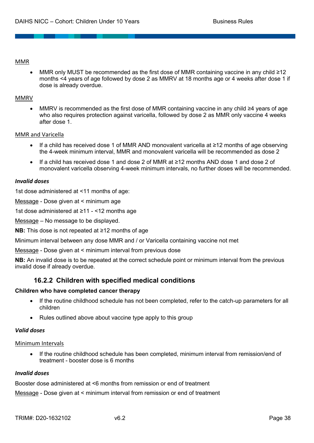#### MMR

• MMR only MUST be recommended as the first dose of MMR containing vaccine in any child ≥12 months <4 years of age followed by dose 2 as MMRV at 18 months age or 4 weeks after dose 1 if dose is already overdue.

#### MMRV

• MMRV is recommended as the first dose of MMR containing vaccine in any child ≥4 years of age who also requires protection against varicella, followed by dose 2 as MMR only vaccine 4 weeks after dose 1.

#### MMR and Varicella

- If a child has received dose 1 of MMR AND monovalent varicella at ≥12 months of age observing the 4-week minimum interval, MMR and monovalent varicella will be recommended as dose 2
- If a child has received dose 1 and dose 2 of MMR at ≥12 months AND dose 1 and dose 2 of monovalent varicella observing 4-week minimum intervals, no further doses will be recommended.

#### *Invalid doses*

1st dose administered at <11 months of age:

Message - Dose given at < minimum age

1st dose administered at ≥11 - <12 months age

Message – No message to be displayed.

**NB:** This dose is not repeated at ≥12 months of age

Minimum interval between any dose MMR and / or Varicella containing vaccine not met

Message - Dose given at < minimum interval from previous dose

**NB:** An invalid dose is to be repeated at the correct schedule point or minimum interval from the previous invalid dose if already overdue.

# **16.2.2 Children with specified medical conditions**

#### **Children who have completed cancer therapy**

- If the routine childhood schedule has not been completed, refer to the catch-up parameters for all children
- Rules outlined above about vaccine type apply to this group

#### *Valid doses*

#### Minimum Intervals

• If the routine childhood schedule has been completed, minimum interval from remission/end of treatment - booster dose is 6 months

#### *Invalid doses*

Booster dose administered at <6 months from remission or end of treatment

Message - Dose given at < minimum interval from remission or end of treatment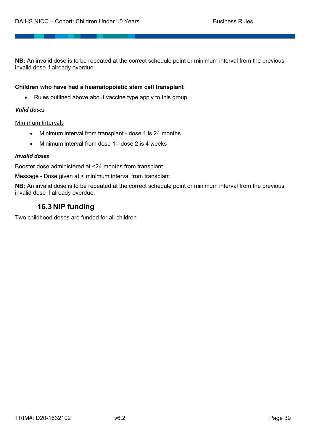**NB:** An invalid dose is to be repeated at the correct schedule point or minimum interval from the previous invalid dose if already overdue.

#### **Children who have had a haematopoietic stem cell transplant**

• Rules outlined above about vaccine type apply to this group

#### *Valid doses*

#### Minimum Intervals

- Minimum interval from transplant dose 1 is 24 months
- Minimum interval from dose 1 dose 2 is 4 weeks

#### *Invalid doses*

Booster dose administered at <24 months from transplant

Message - Dose given at < minimum interval from transplant

**NB:** An invalid dose is to be repeated at the correct schedule point or minimum interval from the previous invalid dose if already overdue.

# **16.3 NIP funding**

Two childhood doses are funded for all children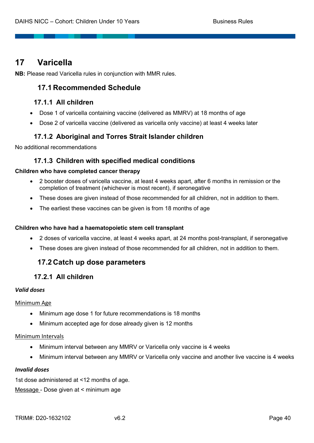# **17 Varicella**

**NB:** Please read Varicella rules in conjunction with MMR rules.

# **17.1 Recommended Schedule**

# **17.1.1 All children**

- Dose 1 of varicella containing vaccine (delivered as MMRV) at 18 months of age
- Dose 2 of varicella vaccine (delivered as varicella only vaccine) at least 4 weeks later

# **17.1.2 Aboriginal and Torres Strait Islander children**

No additional recommendations

# **17.1.3 Children with specified medical conditions**

#### **Children who have completed cancer therapy**

- 2 booster doses of varicella vaccine, at least 4 weeks apart, after 6 months in remission or the completion of treatment (whichever is most recent), if seronegative
- These doses are given instead of those recommended for all children, not in addition to them.
- The earliest these vaccines can be given is from 18 months of age

#### **Children who have had a haematopoietic stem cell transplant**

- 2 doses of varicella vaccine, at least 4 weeks apart, at 24 months post-transplant, if seronegative
- These doses are given instead of those recommended for all children, not in addition to them.

# **17.2 Catch up dose parameters**

# **17.2.1 All children**

#### *Valid doses*

#### Minimum Age

- Minimum age dose 1 for future recommendations is 18 months
- Minimum accepted age for dose already given is 12 months

#### Minimum Intervals

- Minimum interval between any MMRV or Varicella only vaccine is 4 weeks
- Minimum interval between any MMRV or Varicella only vaccine and another live vaccine is 4 weeks

#### *Invalid doses*

1st dose administered at <12 months of age. Message - Dose given at < minimum age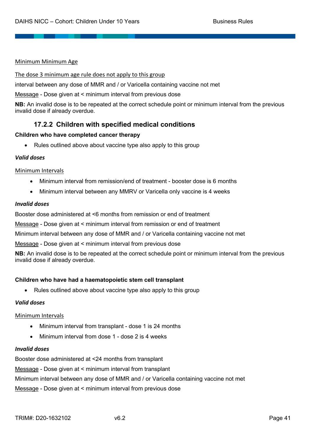#### Minimum Minimum Age

The dose 3 minimum age rule does not apply to this group

interval between any dose of MMR and / or Varicella containing vaccine not met

Message - Dose given at < minimum interval from previous dose

**NB:** An invalid dose is to be repeated at the correct schedule point or minimum interval from the previous invalid dose if already overdue.

# **17.2.2 Children with specified medical conditions**

#### **Children who have completed cancer therapy**

• Rules outlined above about vaccine type also apply to this group

#### *Valid doses*

#### Minimum Intervals

- Minimum interval from remission/end of treatment booster dose is 6 months
- Minimum interval between any MMRV or Varicella only vaccine is 4 weeks

#### *Invalid doses*

Booster dose administered at <6 months from remission or end of treatment

Message - Dose given at < minimum interval from remission or end of treatment

Minimum interval between any dose of MMR and / or Varicella containing vaccine not met

Message - Dose given at < minimum interval from previous dose

**NB:** An invalid dose is to be repeated at the correct schedule point or minimum interval from the previous invalid dose if already overdue.

#### **Children who have had a haematopoietic stem cell transplant**

• Rules outlined above about vaccine type also apply to this group

#### *Valid doses*

#### Minimum Intervals

- Minimum interval from transplant dose 1 is 24 months
- Minimum interval from dose 1 dose 2 is 4 weeks

#### *Invalid doses*

Booster dose administered at <24 months from transplant

Message - Dose given at < minimum interval from transplant

Minimum interval between any dose of MMR and / or Varicella containing vaccine not met

Message - Dose given at < minimum interval from previous dose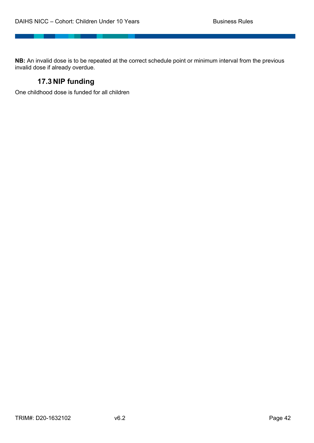**NB:** An invalid dose is to be repeated at the correct schedule point or minimum interval from the previous invalid dose if already overdue.

# **17.3 NIP funding**

\_\_\_\_\_\_

One childhood dose is funded for all children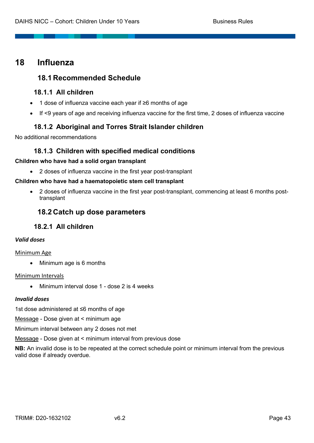# **18 Influenza**

# **18.1 Recommended Schedule**

# **18.1.1 All children**

- 1 dose of influenza vaccine each year if ≥6 months of age
- If <9 years of age and receiving influenza vaccine for the first time, 2 doses of influenza vaccine

# **18.1.2 Aboriginal and Torres Strait Islander children**

No additional recommendations

# **18.1.3 Children with specified medical conditions**

#### **Children who have had a solid organ transplant**

• 2 doses of influenza vaccine in the first year post-transplant

#### **Children who have had a haematopoietic stem cell transplant**

• 2 doses of influenza vaccine in the first year post-transplant, commencing at least 6 months posttransplant

# **18.2 Catch up dose parameters**

# **18.2.1 All children**

### *Valid doses*

#### Minimum Age

• Minimum age is 6 months

#### Minimum Intervals

• Minimum interval dose 1 - dose 2 is 4 weeks

#### *Invalid doses*

1st dose administered at ≤6 months of age

Message - Dose given at < minimum age

Minimum interval between any 2 doses not met

Message - Dose given at < minimum interval from previous dose

**NB:** An invalid dose is to be repeated at the correct schedule point or minimum interval from the previous valid dose if already overdue.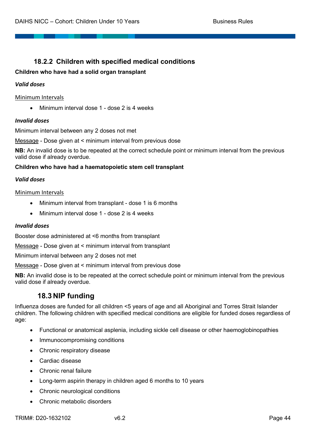# **18.2.2 Children with specified medical conditions**

# **Children who have had a solid organ transplant**

# *Valid doses*

# Minimum Intervals

• Minimum interval dose 1 - dose 2 is 4 weeks

# *Invalid doses*

Minimum interval between any 2 doses not met

Message - Dose given at < minimum interval from previous dose

**NB:** An invalid dose is to be repeated at the correct schedule point or minimum interval from the previous valid dose if already overdue.

# **Children who have had a haematopoietic stem cell transplant**

#### *Valid doses*

#### Minimum Intervals

- Minimum interval from transplant dose 1 is 6 months
- Minimum interval dose 1 dose 2 is 4 weeks

#### *Invalid doses*

Booster dose administered at <6 months from transplant

Message - Dose given at < minimum interval from transplant

Minimum interval between any 2 doses not met

Message - Dose given at < minimum interval from previous dose

**NB:** An invalid dose is to be repeated at the correct schedule point or minimum interval from the previous valid dose if already overdue.

# **18.3 NIP funding**

Influenza doses are funded for all children <5 years of age and all Aboriginal and Torres Strait Islander children. The following children with specified medical conditions are eligible for funded doses regardless of age:

- Functional or anatomical asplenia, including sickle cell disease or other haemoglobinopathies
- Immunocompromising conditions
- Chronic respiratory disease
- Cardiac disease
- Chronic renal failure
- Long-term aspirin therapy in children aged 6 months to 10 years
- Chronic neurological conditions
- Chronic metabolic disorders